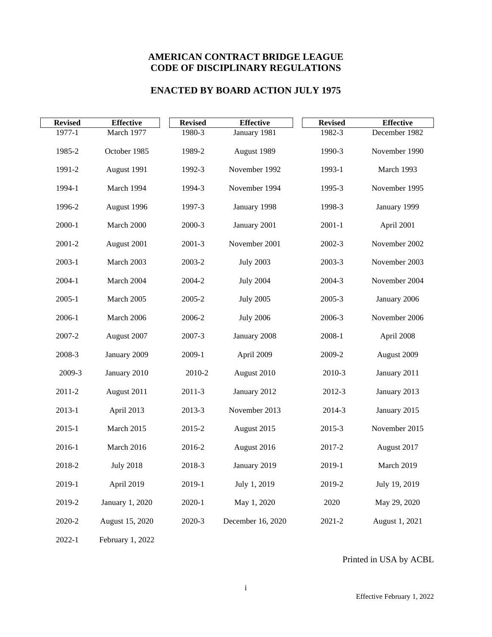# **AMERICAN CONTRACT BRIDGE LEAGUE CODE OF DISCIPLINARY REGULATIONS**

## **ENACTED BY BOARD ACTION JULY 1975**

| <b>Revised</b> | <b>Effective</b> | <b>Revised</b> | <b>Effective</b>  | <b>Revised</b> | <b>Effective</b> |
|----------------|------------------|----------------|-------------------|----------------|------------------|
| 1977-1         | March 1977       | 1980-3         | January 1981      | 1982-3         | December 1982    |
| 1985-2         | October 1985     | 1989-2         | August 1989       | 1990-3         | November 1990    |
| 1991-2         | August 1991      | 1992-3         | November 1992     | 1993-1         | March 1993       |
| 1994-1         | March 1994       | 1994-3         | November 1994     | 1995-3         | November 1995    |
| 1996-2         | August 1996      | 1997-3         | January 1998      | 1998-3         | January 1999     |
| $2000 - 1$     | March 2000       | 2000-3         | January 2001      | $2001 - 1$     | April 2001       |
| 2001-2         | August 2001      | 2001-3         | November 2001     | 2002-3         | November 2002    |
| $2003 - 1$     | March 2003       | 2003-2         | <b>July 2003</b>  | 2003-3         | November 2003    |
| 2004-1         | March 2004       | 2004-2         | <b>July 2004</b>  | 2004-3         | November 2004    |
| $2005 - 1$     | March 2005       | 2005-2         | <b>July 2005</b>  | 2005-3         | January 2006     |
| 2006-1         | March 2006       | 2006-2         | <b>July 2006</b>  | 2006-3         | November 2006    |
| 2007-2         | August 2007      | 2007-3         | January 2008      | 2008-1         | April 2008       |
| 2008-3         | January 2009     | 2009-1         | April 2009        | 2009-2         | August 2009      |
| 2009-3         | January 2010     | 2010-2         | August 2010       | 2010-3         | January 2011     |
| 2011-2         | August 2011      | 2011-3         | January 2012      | 2012-3         | January 2013     |
| $2013 - 1$     | April 2013       | 2013-3         | November 2013     | 2014-3         | January 2015     |
| $2015 - 1$     | March 2015       | 2015-2         | August 2015       | 2015-3         | November 2015    |
| 2016-1         | March 2016       | 2016-2         | August 2016       | 2017-2         | August 2017      |
| 2018-2         | <b>July 2018</b> | 2018-3         | January 2019      | 2019-1         | March 2019       |
| 2019-1         | April 2019       | 2019-1         | July 1, 2019      | 2019-2         | July 19, 2019    |
| 2019-2         | January 1, 2020  | 2020-1         | May 1, 2020       | 2020           | May 29, 2020     |
| 2020-2         | August 15, 2020  | 2020-3         | December 16, 2020 | 2021-2         | August 1, 2021   |

2022-1 February 1, 2022

Printed in USA by ACBL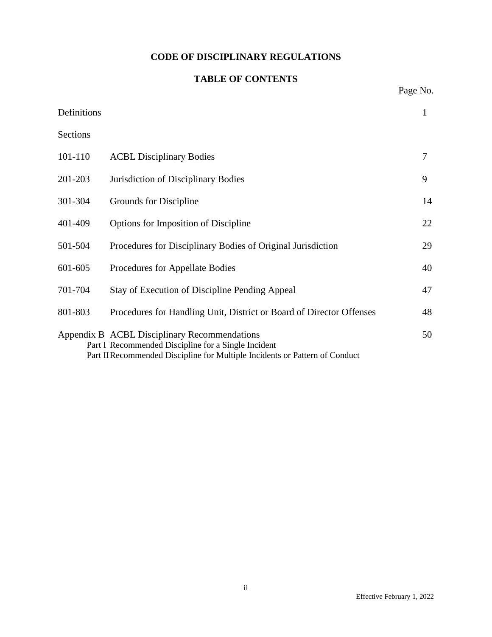# **CODE OF DISCIPLINARY REGULATIONS**

# **TABLE OF CONTENTS**

Page No.

| Definitions |                                                                                                                                                                                    | 1  |
|-------------|------------------------------------------------------------------------------------------------------------------------------------------------------------------------------------|----|
| Sections    |                                                                                                                                                                                    |    |
| 101-110     | <b>ACBL Disciplinary Bodies</b>                                                                                                                                                    | 7  |
| 201-203     | Jurisdiction of Disciplinary Bodies                                                                                                                                                | 9  |
| 301-304     | Grounds for Discipline                                                                                                                                                             | 14 |
| 401-409     | Options for Imposition of Discipline                                                                                                                                               | 22 |
| 501-504     | Procedures for Disciplinary Bodies of Original Jurisdiction                                                                                                                        | 29 |
| 601-605     | Procedures for Appellate Bodies                                                                                                                                                    | 40 |
| 701-704     | <b>Stay of Execution of Discipline Pending Appeal</b>                                                                                                                              | 47 |
| 801-803     | Procedures for Handling Unit, District or Board of Director Offenses                                                                                                               | 48 |
|             | Appendix B ACBL Disciplinary Recommendations<br>Part I Recommended Discipline for a Single Incident<br>Part II Recommended Discipline for Multiple Incidents or Pattern of Conduct | 50 |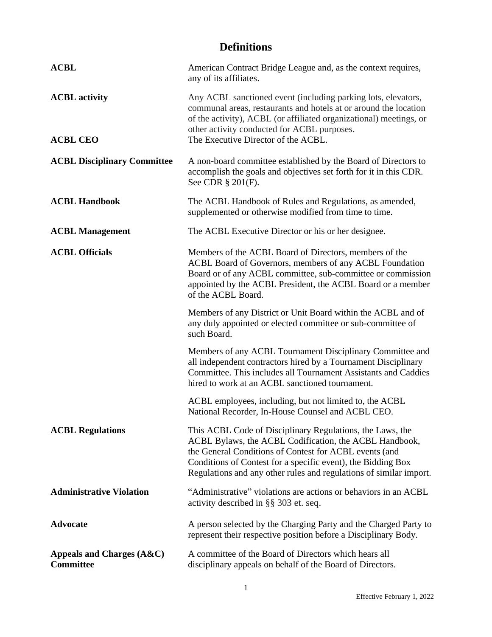# **Definitions**

| <b>ACBL</b>                                       | American Contract Bridge League and, as the context requires,<br>any of its affiliates.                                                                                                                                                                                                                             |
|---------------------------------------------------|---------------------------------------------------------------------------------------------------------------------------------------------------------------------------------------------------------------------------------------------------------------------------------------------------------------------|
| <b>ACBL</b> activity                              | Any ACBL sanctioned event (including parking lots, elevators,<br>communal areas, restaurants and hotels at or around the location<br>of the activity), ACBL (or affiliated organizational) meetings, or<br>other activity conducted for ACBL purposes.                                                              |
| <b>ACBL CEO</b>                                   | The Executive Director of the ACBL.                                                                                                                                                                                                                                                                                 |
| <b>ACBL Disciplinary Committee</b>                | A non-board committee established by the Board of Directors to<br>accomplish the goals and objectives set forth for it in this CDR.<br>See CDR § 201(F).                                                                                                                                                            |
| <b>ACBL Handbook</b>                              | The ACBL Handbook of Rules and Regulations, as amended,<br>supplemented or otherwise modified from time to time.                                                                                                                                                                                                    |
| <b>ACBL Management</b>                            | The ACBL Executive Director or his or her designee.                                                                                                                                                                                                                                                                 |
| <b>ACBL Officials</b>                             | Members of the ACBL Board of Directors, members of the<br>ACBL Board of Governors, members of any ACBL Foundation<br>Board or of any ACBL committee, sub-committee or commission<br>appointed by the ACBL President, the ACBL Board or a member<br>of the ACBL Board.                                               |
|                                                   | Members of any District or Unit Board within the ACBL and of<br>any duly appointed or elected committee or sub-committee of<br>such Board.                                                                                                                                                                          |
|                                                   | Members of any ACBL Tournament Disciplinary Committee and<br>all independent contractors hired by a Tournament Disciplinary<br>Committee. This includes all Tournament Assistants and Caddies<br>hired to work at an ACBL sanctioned tournament.                                                                    |
|                                                   | ACBL employees, including, but not limited to, the ACBL<br>National Recorder, In-House Counsel and ACBL CEO.                                                                                                                                                                                                        |
| <b>ACBL Regulations</b>                           | This ACBL Code of Disciplinary Regulations, the Laws, the<br>ACBL Bylaws, the ACBL Codification, the ACBL Handbook,<br>the General Conditions of Contest for ACBL events (and<br>Conditions of Contest for a specific event), the Bidding Box<br>Regulations and any other rules and regulations of similar import. |
| <b>Administrative Violation</b>                   | "Administrative" violations are actions or behaviors in an ACBL<br>activity described in §§ 303 et. seq.                                                                                                                                                                                                            |
| <b>Advocate</b>                                   | A person selected by the Charging Party and the Charged Party to<br>represent their respective position before a Disciplinary Body.                                                                                                                                                                                 |
| Appeals and Charges $(A & C)$<br><b>Committee</b> | A committee of the Board of Directors which hears all<br>disciplinary appeals on behalf of the Board of Directors.                                                                                                                                                                                                  |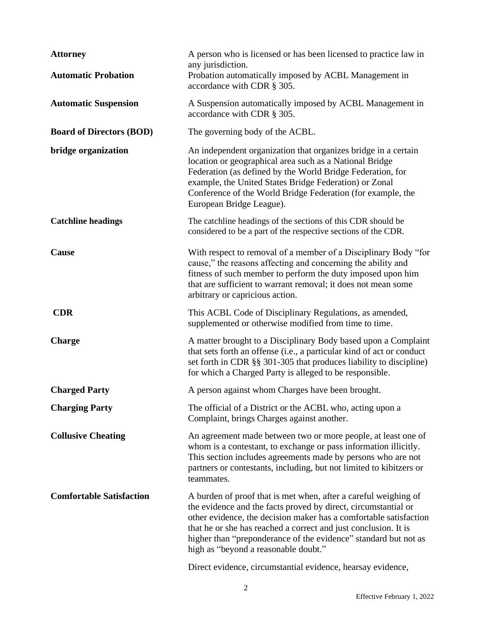| <b>Attorney</b><br><b>Automatic Probation</b> | A person who is licensed or has been licensed to practice law in<br>any jurisdiction.<br>Probation automatically imposed by ACBL Management in<br>accordance with CDR § 305.                                                                                                                                                                                                         |
|-----------------------------------------------|--------------------------------------------------------------------------------------------------------------------------------------------------------------------------------------------------------------------------------------------------------------------------------------------------------------------------------------------------------------------------------------|
| <b>Automatic Suspension</b>                   | A Suspension automatically imposed by ACBL Management in<br>accordance with CDR § 305.                                                                                                                                                                                                                                                                                               |
| <b>Board of Directors (BOD)</b>               | The governing body of the ACBL.                                                                                                                                                                                                                                                                                                                                                      |
| bridge organization                           | An independent organization that organizes bridge in a certain<br>location or geographical area such as a National Bridge<br>Federation (as defined by the World Bridge Federation, for<br>example, the United States Bridge Federation) or Zonal<br>Conference of the World Bridge Federation (for example, the<br>European Bridge League).                                         |
| <b>Catchline headings</b>                     | The catchline headings of the sections of this CDR should be<br>considered to be a part of the respective sections of the CDR.                                                                                                                                                                                                                                                       |
| <b>Cause</b>                                  | With respect to removal of a member of a Disciplinary Body "for<br>cause," the reasons affecting and concerning the ability and<br>fitness of such member to perform the duty imposed upon him<br>that are sufficient to warrant removal; it does not mean some<br>arbitrary or capricious action.                                                                                   |
| <b>CDR</b>                                    | This ACBL Code of Disciplinary Regulations, as amended,<br>supplemented or otherwise modified from time to time.                                                                                                                                                                                                                                                                     |
| <b>Charge</b>                                 | A matter brought to a Disciplinary Body based upon a Complaint<br>that sets forth an offense (i.e., a particular kind of act or conduct<br>set forth in CDR §§ 301-305 that produces liability to discipline)<br>for which a Charged Party is alleged to be responsible.                                                                                                             |
| <b>Charged Party</b>                          | A person against whom Charges have been brought.                                                                                                                                                                                                                                                                                                                                     |
| <b>Charging Party</b>                         | The official of a District or the ACBL who, acting upon a<br>Complaint, brings Charges against another.                                                                                                                                                                                                                                                                              |
| <b>Collusive Cheating</b>                     | An agreement made between two or more people, at least one of<br>whom is a contestant, to exchange or pass information illicitly.<br>This section includes agreements made by persons who are not<br>partners or contestants, including, but not limited to kibitzers or<br>teammates.                                                                                               |
| <b>Comfortable Satisfaction</b>               | A burden of proof that is met when, after a careful weighing of<br>the evidence and the facts proved by direct, circumstantial or<br>other evidence, the decision maker has a comfortable satisfaction<br>that he or she has reached a correct and just conclusion. It is<br>higher than "preponderance of the evidence" standard but not as<br>high as "beyond a reasonable doubt." |
|                                               | Direct evidence, circumstantial evidence, hearsay evidence,                                                                                                                                                                                                                                                                                                                          |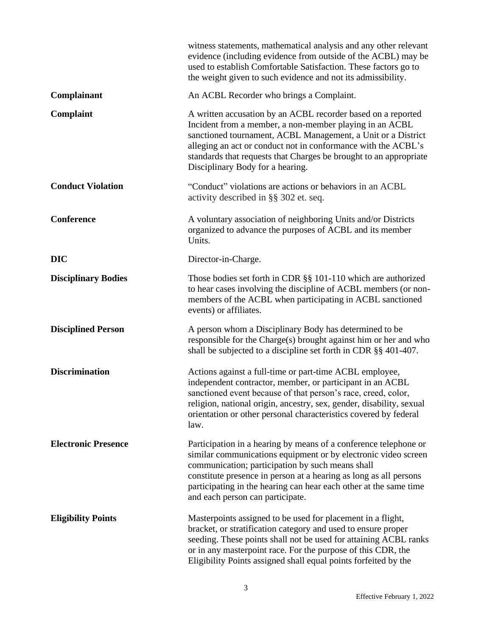|                            | witness statements, mathematical analysis and any other relevant<br>evidence (including evidence from outside of the ACBL) may be<br>used to establish Comfortable Satisfaction. These factors go to<br>the weight given to such evidence and not its admissibility.                                                                                                 |
|----------------------------|----------------------------------------------------------------------------------------------------------------------------------------------------------------------------------------------------------------------------------------------------------------------------------------------------------------------------------------------------------------------|
| Complainant                | An ACBL Recorder who brings a Complaint.                                                                                                                                                                                                                                                                                                                             |
| Complaint                  | A written accusation by an ACBL recorder based on a reported<br>Incident from a member, a non-member playing in an ACBL<br>sanctioned tournament, ACBL Management, a Unit or a District<br>alleging an act or conduct not in conformance with the ACBL's<br>standards that requests that Charges be brought to an appropriate<br>Disciplinary Body for a hearing.    |
| <b>Conduct Violation</b>   | "Conduct" violations are actions or behaviors in an ACBL<br>activity described in §§ 302 et. seq.                                                                                                                                                                                                                                                                    |
| <b>Conference</b>          | A voluntary association of neighboring Units and/or Districts<br>organized to advance the purposes of ACBL and its member<br>Units.                                                                                                                                                                                                                                  |
| <b>DIC</b>                 | Director-in-Charge.                                                                                                                                                                                                                                                                                                                                                  |
| <b>Disciplinary Bodies</b> | Those bodies set forth in CDR $\S$ § 101-110 which are authorized<br>to hear cases involving the discipline of ACBL members (or non-<br>members of the ACBL when participating in ACBL sanctioned<br>events) or affiliates.                                                                                                                                          |
| <b>Disciplined Person</b>  | A person whom a Disciplinary Body has determined to be<br>responsible for the Charge(s) brought against him or her and who<br>shall be subjected to a discipline set forth in CDR §§ 401-407.                                                                                                                                                                        |
| <b>Discrimination</b>      | Actions against a full-time or part-time ACBL employee,<br>independent contractor, member, or participant in an ACBL<br>sanctioned event because of that person's race, creed, color,<br>religion, national origin, ancestry, sex, gender, disability, sexual<br>orientation or other personal characteristics covered by federal<br>law.                            |
| <b>Electronic Presence</b> | Participation in a hearing by means of a conference telephone or<br>similar communications equipment or by electronic video screen<br>communication; participation by such means shall<br>constitute presence in person at a hearing as long as all persons<br>participating in the hearing can hear each other at the same time<br>and each person can participate. |
| <b>Eligibility Points</b>  | Masterpoints assigned to be used for placement in a flight,<br>bracket, or stratification category and used to ensure proper<br>seeding. These points shall not be used for attaining ACBL ranks<br>or in any masterpoint race. For the purpose of this CDR, the<br>Eligibility Points assigned shall equal points forfeited by the                                  |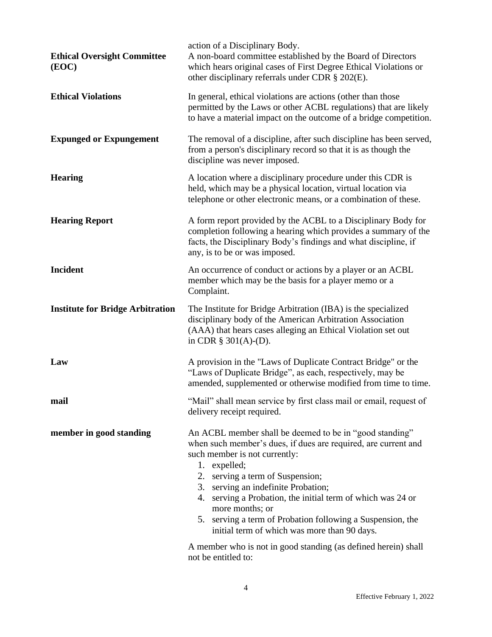| <b>Ethical Oversight Committee</b><br>(EOC) | action of a Disciplinary Body.<br>A non-board committee established by the Board of Directors<br>which hears original cases of First Degree Ethical Violations or<br>other disciplinary referrals under CDR § 202(E).                                                                                                                                                                                                                                                                                                                          |
|---------------------------------------------|------------------------------------------------------------------------------------------------------------------------------------------------------------------------------------------------------------------------------------------------------------------------------------------------------------------------------------------------------------------------------------------------------------------------------------------------------------------------------------------------------------------------------------------------|
| <b>Ethical Violations</b>                   | In general, ethical violations are actions (other than those<br>permitted by the Laws or other ACBL regulations) that are likely<br>to have a material impact on the outcome of a bridge competition.                                                                                                                                                                                                                                                                                                                                          |
| <b>Expunged or Expungement</b>              | The removal of a discipline, after such discipline has been served,<br>from a person's disciplinary record so that it is as though the<br>discipline was never imposed.                                                                                                                                                                                                                                                                                                                                                                        |
| <b>Hearing</b>                              | A location where a disciplinary procedure under this CDR is<br>held, which may be a physical location, virtual location via<br>telephone or other electronic means, or a combination of these.                                                                                                                                                                                                                                                                                                                                                 |
| <b>Hearing Report</b>                       | A form report provided by the ACBL to a Disciplinary Body for<br>completion following a hearing which provides a summary of the<br>facts, the Disciplinary Body's findings and what discipline, if<br>any, is to be or was imposed.                                                                                                                                                                                                                                                                                                            |
| <b>Incident</b>                             | An occurrence of conduct or actions by a player or an ACBL<br>member which may be the basis for a player memo or a<br>Complaint.                                                                                                                                                                                                                                                                                                                                                                                                               |
| <b>Institute for Bridge Arbitration</b>     | The Institute for Bridge Arbitration (IBA) is the specialized<br>disciplinary body of the American Arbitration Association<br>(AAA) that hears cases alleging an Ethical Violation set out<br>in CDR $\S$ 301(A)-(D).                                                                                                                                                                                                                                                                                                                          |
| Law                                         | A provision in the "Laws of Duplicate Contract Bridge" or the<br>"Laws of Duplicate Bridge", as each, respectively, may be<br>amended, supplemented or otherwise modified from time to time.                                                                                                                                                                                                                                                                                                                                                   |
| mail                                        | "Mail" shall mean service by first class mail or email, request of<br>delivery receipt required.                                                                                                                                                                                                                                                                                                                                                                                                                                               |
| member in good standing                     | An ACBL member shall be deemed to be in "good standing"<br>when such member's dues, if dues are required, are current and<br>such member is not currently:<br>1. expelled;<br>2. serving a term of Suspension;<br>3. serving an indefinite Probation;<br>4. serving a Probation, the initial term of which was 24 or<br>more months; or<br>5. serving a term of Probation following a Suspension, the<br>initial term of which was more than 90 days.<br>A member who is not in good standing (as defined herein) shall<br>not be entitled to: |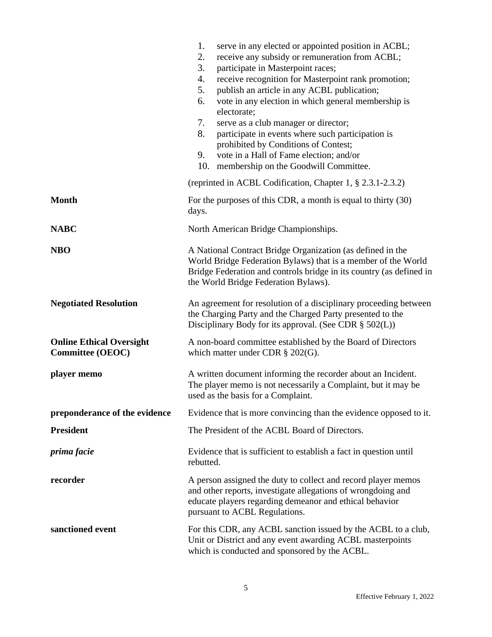|                                                            | 1.<br>serve in any elected or appointed position in ACBL;<br>2.<br>receive any subsidy or remuneration from ACBL;<br>3.<br>participate in Masterpoint races;<br>4.<br>receive recognition for Masterpoint rank promotion;<br>5.<br>publish an article in any ACBL publication;<br>vote in any election in which general membership is<br>6.<br>electorate;<br>7.<br>serve as a club manager or director;<br>8.<br>participate in events where such participation is<br>prohibited by Conditions of Contest;<br>9.<br>vote in a Hall of Fame election; and/or<br>10.<br>membership on the Goodwill Committee. |  |
|------------------------------------------------------------|--------------------------------------------------------------------------------------------------------------------------------------------------------------------------------------------------------------------------------------------------------------------------------------------------------------------------------------------------------------------------------------------------------------------------------------------------------------------------------------------------------------------------------------------------------------------------------------------------------------|--|
|                                                            | (reprinted in ACBL Codification, Chapter 1, § 2.3.1-2.3.2)                                                                                                                                                                                                                                                                                                                                                                                                                                                                                                                                                   |  |
| <b>Month</b>                                               | For the purposes of this CDR, a month is equal to thirty (30)<br>days.                                                                                                                                                                                                                                                                                                                                                                                                                                                                                                                                       |  |
| <b>NABC</b>                                                | North American Bridge Championships.                                                                                                                                                                                                                                                                                                                                                                                                                                                                                                                                                                         |  |
| <b>NBO</b>                                                 | A National Contract Bridge Organization (as defined in the<br>World Bridge Federation Bylaws) that is a member of the World<br>Bridge Federation and controls bridge in its country (as defined in<br>the World Bridge Federation Bylaws).                                                                                                                                                                                                                                                                                                                                                                   |  |
| <b>Negotiated Resolution</b>                               | An agreement for resolution of a disciplinary proceeding between<br>the Charging Party and the Charged Party presented to the<br>Disciplinary Body for its approval. (See CDR $\S$ 502(L))                                                                                                                                                                                                                                                                                                                                                                                                                   |  |
| <b>Online Ethical Oversight</b><br><b>Committee (OEOC)</b> | A non-board committee established by the Board of Directors<br>which matter under CDR $\S$ 202(G).                                                                                                                                                                                                                                                                                                                                                                                                                                                                                                           |  |
| player memo                                                | A written document informing the recorder about an Incident.<br>The player memo is not necessarily a Complaint, but it may be<br>used as the basis for a Complaint.                                                                                                                                                                                                                                                                                                                                                                                                                                          |  |
| preponderance of the evidence                              | Evidence that is more convincing than the evidence opposed to it.                                                                                                                                                                                                                                                                                                                                                                                                                                                                                                                                            |  |
| <b>President</b>                                           | The President of the ACBL Board of Directors.                                                                                                                                                                                                                                                                                                                                                                                                                                                                                                                                                                |  |
| prima facie                                                | Evidence that is sufficient to establish a fact in question until<br>rebutted.                                                                                                                                                                                                                                                                                                                                                                                                                                                                                                                               |  |
| recorder                                                   | A person assigned the duty to collect and record player memos<br>and other reports, investigate allegations of wrongdoing and<br>educate players regarding demeanor and ethical behavior<br>pursuant to ACBL Regulations.                                                                                                                                                                                                                                                                                                                                                                                    |  |
| sanctioned event                                           | For this CDR, any ACBL sanction issued by the ACBL to a club,<br>Unit or District and any event awarding ACBL masterpoints<br>which is conducted and sponsored by the ACBL.                                                                                                                                                                                                                                                                                                                                                                                                                                  |  |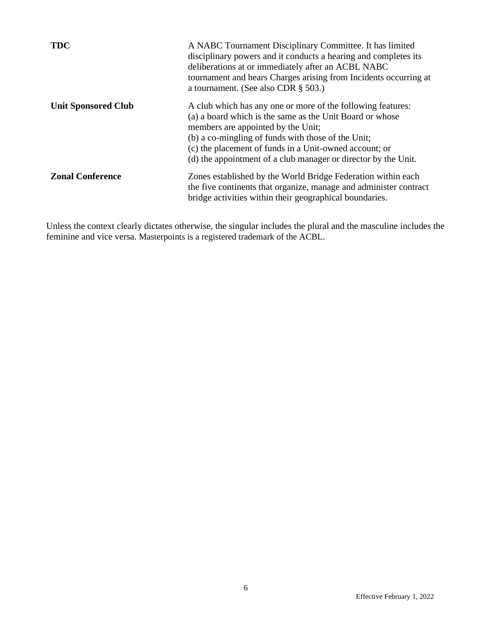| <b>TDC</b>                 | A NABC Tournament Disciplinary Committee. It has limited<br>disciplinary powers and it conducts a hearing and completes its<br>deliberations at or immediately after an ACBL NABC<br>tournament and hears Charges arising from Incidents occurring at<br>a tournament. (See also CDR $\S$ 503.)                                                 |
|----------------------------|-------------------------------------------------------------------------------------------------------------------------------------------------------------------------------------------------------------------------------------------------------------------------------------------------------------------------------------------------|
| <b>Unit Sponsored Club</b> | A club which has any one or more of the following features:<br>(a) a board which is the same as the Unit Board or whose<br>members are appointed by the Unit;<br>(b) a co-mingling of funds with those of the Unit;<br>(c) the placement of funds in a Unit-owned account; or<br>(d) the appointment of a club manager or director by the Unit. |
| <b>Zonal Conference</b>    | Zones established by the World Bridge Federation within each<br>the five continents that organize, manage and administer contract<br>bridge activities within their geographical boundaries.                                                                                                                                                    |

Unless the context clearly dictates otherwise, the singular includes the plural and the masculine includes the feminine and vice versa. Masterpoints is a registered trademark of the ACBL.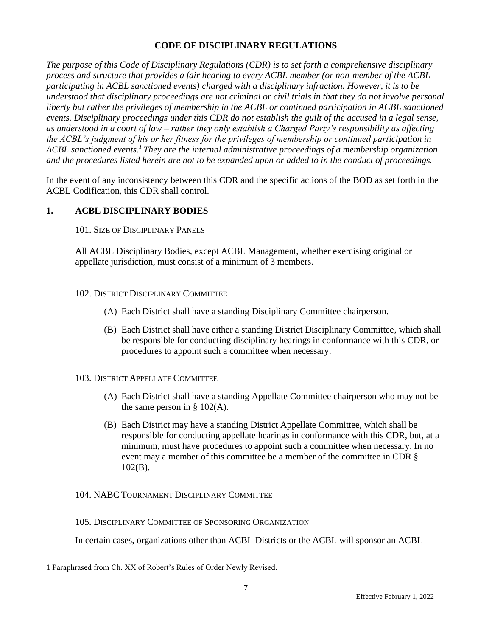## **CODE OF DISCIPLINARY REGULATIONS**

*The purpose of this Code of Disciplinary Regulations (CDR) is to set forth a comprehensive disciplinary process and structure that provides a fair hearing to every ACBL member (or non-member of the ACBL participating in ACBL sanctioned events) charged with a disciplinary infraction. However, it is to be understood that disciplinary proceedings are not criminal or civil trials in that they do not involve personal liberty but rather the privileges of membership in the ACBL or continued participation in ACBL sanctioned events. Disciplinary proceedings under this CDR do not establish the guilt of the accused in a legal sense, as understood in a court of law – rather they only establish a Charged Party's responsibility as affecting the ACBL's judgment of his or her fitness for the privileges of membership or continued participation in ACBL sanctioned events.<sup>1</sup> They are the internal administrative proceedings of a membership organization and the procedures listed herein are not to be expanded upon or added to in the conduct of proceedings.*

In the event of any inconsistency between this CDR and the specific actions of the BOD as set forth in the ACBL Codification, this CDR shall control.

## **1. ACBL DISCIPLINARY BODIES**

101. SIZE OF DISCIPLINARY PANELS

All ACBL Disciplinary Bodies, except ACBL Management, whether exercising original or appellate jurisdiction, must consist of a minimum of 3 members.

#### 102. DISTRICT DISCIPLINARY COMMITTEE

- (A) Each District shall have a standing Disciplinary Committee chairperson.
- (B) Each District shall have either a standing District Disciplinary Committee, which shall be responsible for conducting disciplinary hearings in conformance with this CDR, or procedures to appoint such a committee when necessary.
- 103. DISTRICT APPELLATE COMMITTEE
	- (A) Each District shall have a standing Appellate Committee chairperson who may not be the same person in  $\S$  102(A).
	- (B) Each District may have a standing District Appellate Committee, which shall be responsible for conducting appellate hearings in conformance with this CDR, but, at a minimum, must have procedures to appoint such a committee when necessary. In no event may a member of this committee be a member of the committee in CDR § 102(B).

#### 104. NABC TOURNAMENT DISCIPLINARY COMMITTEE

105. DISCIPLINARY COMMITTEE OF SPONSORING ORGANIZATION

In certain cases, organizations other than ACBL Districts or the ACBL will sponsor an ACBL

<sup>1</sup> Paraphrased from Ch. XX of Robert's Rules of Order Newly Revised.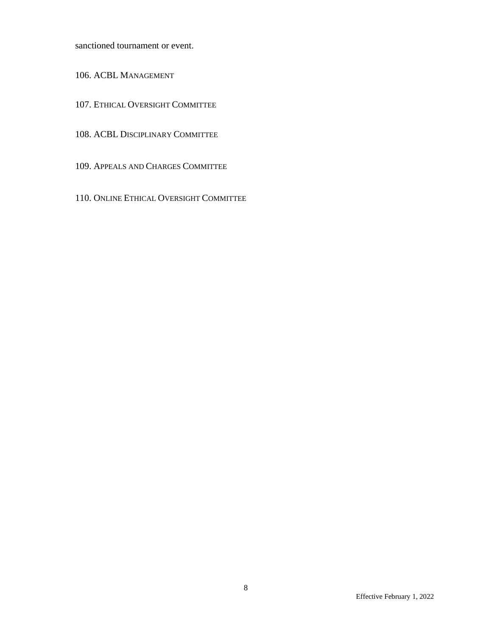sanctioned tournament or event.

106. ACBL MANAGEMENT

- 107. ETHICAL OVERSIGHT COMMITTEE
- 108. ACBL DISCIPLINARY COMMITTEE
- 109. APPEALS AND CHARGES COMMITTEE
- 110. ONLINE ETHICAL OVERSIGHT COMMITTEE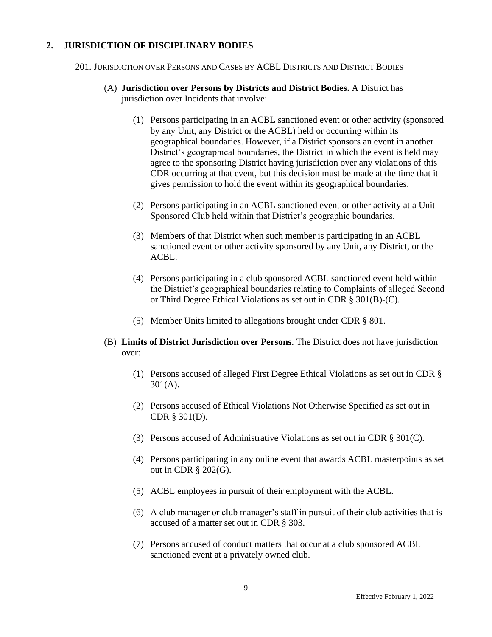## **2. JURISDICTION OF DISCIPLINARY BODIES**

201. JURISDICTION OVER PERSONS AND CASES BY ACBL DISTRICTS AND DISTRICT BODIES

- (A) **Jurisdiction over Persons by Districts and District Bodies.** A District has jurisdiction over Incidents that involve:
	- (1) Persons participating in an ACBL sanctioned event or other activity (sponsored by any Unit, any District or the ACBL) held or occurring within its geographical boundaries. However, if a District sponsors an event in another District's geographical boundaries, the District in which the event is held may agree to the sponsoring District having jurisdiction over any violations of this CDR occurring at that event, but this decision must be made at the time that it gives permission to hold the event within its geographical boundaries.
	- (2) Persons participating in an ACBL sanctioned event or other activity at a Unit Sponsored Club held within that District's geographic boundaries.
	- (3) Members of that District when such member is participating in an ACBL sanctioned event or other activity sponsored by any Unit, any District, or the ACBL.
	- (4) Persons participating in a club sponsored ACBL sanctioned event held within the District's geographical boundaries relating to Complaints of alleged Second or Third Degree Ethical Violations as set out in CDR § 301(B)-(C).
	- (5) Member Units limited to allegations brought under CDR § 801.
- (B) **Limits of District Jurisdiction over Persons**. The District does not have jurisdiction over:
	- (1) Persons accused of alleged First Degree Ethical Violations as set out in CDR § 301(A).
	- (2) Persons accused of Ethical Violations Not Otherwise Specified as set out in CDR § 301(D).
	- (3) Persons accused of Administrative Violations as set out in CDR § 301(C).
	- (4) Persons participating in any online event that awards ACBL masterpoints as set out in CDR § 202(G).
	- (5) ACBL employees in pursuit of their employment with the ACBL.
	- (6) A club manager or club manager's staff in pursuit of their club activities that is accused of a matter set out in CDR § 303.
	- (7) Persons accused of conduct matters that occur at a club sponsored ACBL sanctioned event at a privately owned club.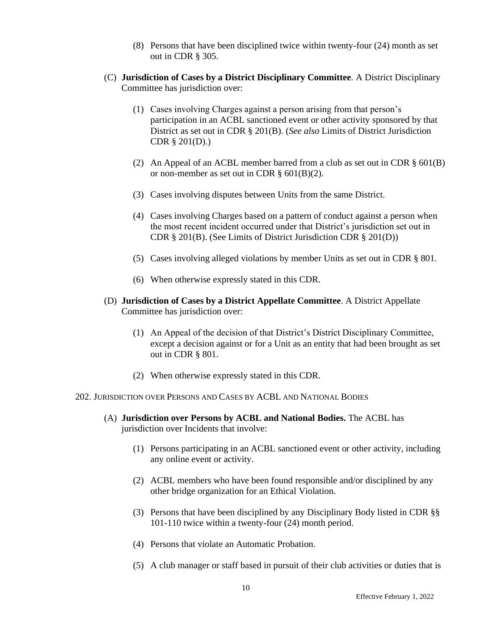- (8) Persons that have been disciplined twice within twenty-four (24) month as set out in CDR § 305.
- (C) **Jurisdiction of Cases by a District Disciplinary Committee***.* A District Disciplinary Committee has jurisdiction over:
	- (1) Cases involving Charges against a person arising from that person's participation in an ACBL sanctioned event or other activity sponsored by that District as set out in CDR § 201(B). (*See also* Limits of District Jurisdiction CDR § 201(D).)
	- (2) An Appeal of an ACBL member barred from a club as set out in CDR  $\S$  601(B) or non-member as set out in CDR  $\S$  601(B)(2).
	- (3) Cases involving disputes between Units from the same District.
	- (4) Cases involving Charges based on a pattern of conduct against a person when the most recent incident occurred under that District's jurisdiction set out in CDR § 201(B). (See Limits of District Jurisdiction CDR § 201(D))
	- (5) Cases involving alleged violations by member Units as set out in CDR § 801.
	- (6) When otherwise expressly stated in this CDR.
- (D) **Jurisdiction of Cases by a District Appellate Committee**. A District Appellate Committee has jurisdiction over:
	- (1) An Appeal of the decision of that District's District Disciplinary Committee, except a decision against or for a Unit as an entity that had been brought as set out in CDR § 801.
	- (2) When otherwise expressly stated in this CDR.

202. JURISDICTION OVER PERSONS AND CASES BY ACBL AND NATIONAL BODIES

- (A) **Jurisdiction over Persons by ACBL and National Bodies.** The ACBL has jurisdiction over Incidents that involve:
	- (1) Persons participating in an ACBL sanctioned event or other activity, including any online event or activity.
	- (2) ACBL members who have been found responsible and/or disciplined by any other bridge organization for an Ethical Violation.
	- (3) Persons that have been disciplined by any Disciplinary Body listed in CDR §§ 101-110 twice within a twenty-four (24) month period.
	- (4) Persons that violate an Automatic Probation.
	- (5) A club manager or staff based in pursuit of their club activities or duties that is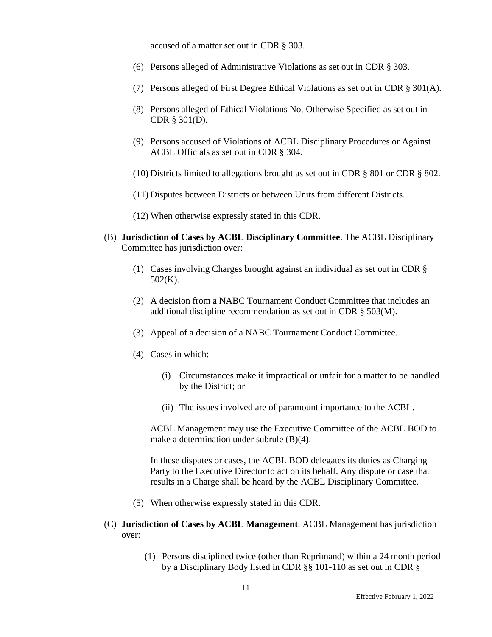accused of a matter set out in CDR § 303.

- (6) Persons alleged of Administrative Violations as set out in CDR § 303.
- (7) Persons alleged of First Degree Ethical Violations as set out in CDR § 301(A).
- (8) Persons alleged of Ethical Violations Not Otherwise Specified as set out in CDR § 301(D).
- (9) Persons accused of Violations of ACBL Disciplinary Procedures or Against ACBL Officials as set out in CDR § 304.
- (10) Districts limited to allegations brought as set out in CDR § 801 or CDR § 802.
- (11) Disputes between Districts or between Units from different Districts.
- (12) When otherwise expressly stated in this CDR.
- (B) **Jurisdiction of Cases by ACBL Disciplinary Committee**. The ACBL Disciplinary Committee has jurisdiction over:
	- (1) Cases involving Charges brought against an individual as set out in CDR § 502(K).
	- (2) A decision from a NABC Tournament Conduct Committee that includes an additional discipline recommendation as set out in CDR § 503(M).
	- (3) Appeal of a decision of a NABC Tournament Conduct Committee.
	- (4) Cases in which:
		- (i) Circumstances make it impractical or unfair for a matter to be handled by the District; or
		- (ii) The issues involved are of paramount importance to the ACBL.

ACBL Management may use the Executive Committee of the ACBL BOD to make a determination under subrule (B)(4).

In these disputes or cases, the ACBL BOD delegates its duties as Charging Party to the Executive Director to act on its behalf. Any dispute or case that results in a Charge shall be heard by the ACBL Disciplinary Committee.

- (5) When otherwise expressly stated in this CDR.
- (C) **Jurisdiction of Cases by ACBL Management**. ACBL Management has jurisdiction over:
	- (1) Persons disciplined twice (other than Reprimand) within a 24 month period by a Disciplinary Body listed in CDR §§ 101-110 as set out in CDR §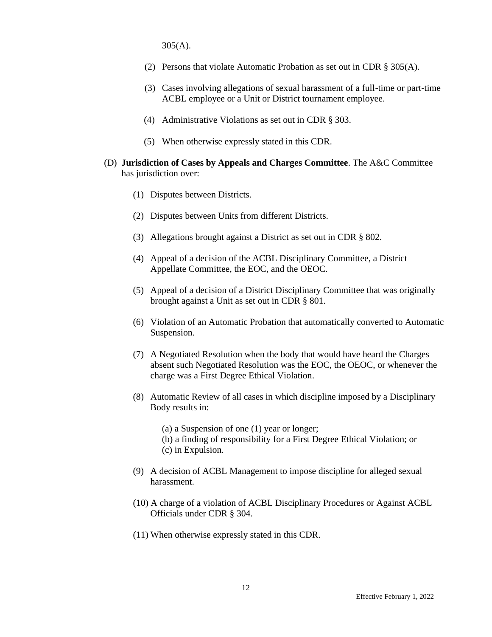305(A).

- (2) Persons that violate Automatic Probation as set out in CDR § 305(A).
- (3) Cases involving allegations of sexual harassment of a full-time or part-time ACBL employee or a Unit or District tournament employee.
- (4) Administrative Violations as set out in CDR § 303.
- (5) When otherwise expressly stated in this CDR.
- (D) **Jurisdiction of Cases by Appeals and Charges Committee**. The A&C Committee has jurisdiction over:
	- (1) Disputes between Districts.
	- (2) Disputes between Units from different Districts.
	- (3) Allegations brought against a District as set out in CDR § 802.
	- (4) Appeal of a decision of the ACBL Disciplinary Committee, a District Appellate Committee, the EOC, and the OEOC.
	- (5) Appeal of a decision of a District Disciplinary Committee that was originally brought against a Unit as set out in CDR § 801.
	- (6) Violation of an Automatic Probation that automatically converted to Automatic Suspension.
	- (7) A Negotiated Resolution when the body that would have heard the Charges absent such Negotiated Resolution was the EOC, the OEOC, or whenever the charge was a First Degree Ethical Violation.
	- (8) Automatic Review of all cases in which discipline imposed by a Disciplinary Body results in:

(a) a Suspension of one (1) year or longer;

- (b) a finding of responsibility for a First Degree Ethical Violation; or (c) in Expulsion.
- (9) A decision of ACBL Management to impose discipline for alleged sexual harassment.
- (10) A charge of a violation of ACBL Disciplinary Procedures or Against ACBL Officials under CDR § 304.
- (11) When otherwise expressly stated in this CDR.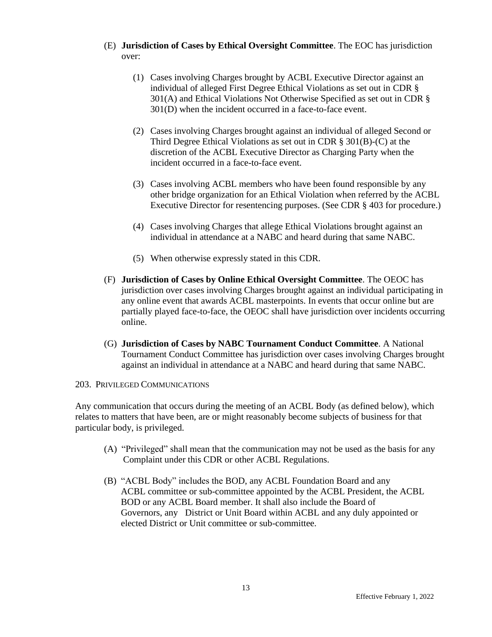- (E) **Jurisdiction of Cases by Ethical Oversight Committee**. The EOC has jurisdiction over:
	- (1) Cases involving Charges brought by ACBL Executive Director against an individual of alleged First Degree Ethical Violations as set out in CDR § 301(A) and Ethical Violations Not Otherwise Specified as set out in CDR § 301(D) when the incident occurred in a face-to-face event.
	- (2) Cases involving Charges brought against an individual of alleged Second or Third Degree Ethical Violations as set out in CDR § 301(B)-(C) at the discretion of the ACBL Executive Director as Charging Party when the incident occurred in a face-to-face event.
	- (3) Cases involving ACBL members who have been found responsible by any other bridge organization for an Ethical Violation when referred by the ACBL Executive Director for resentencing purposes. (See CDR § 403 for procedure.)
	- (4) Cases involving Charges that allege Ethical Violations brought against an individual in attendance at a NABC and heard during that same NABC.
	- (5) When otherwise expressly stated in this CDR.
- (F) **Jurisdiction of Cases by Online Ethical Oversight Committee**. The OEOC has jurisdiction over cases involving Charges brought against an individual participating in any online event that awards ACBL masterpoints. In events that occur online but are partially played face-to-face, the OEOC shall have jurisdiction over incidents occurring online.
- (G) **Jurisdiction of Cases by NABC Tournament Conduct Committee**. A National Tournament Conduct Committee has jurisdiction over cases involving Charges brought against an individual in attendance at a NABC and heard during that same NABC.

### 203. PRIVILEGED COMMUNICATIONS

Any communication that occurs during the meeting of an ACBL Body (as defined below), which relates to matters that have been, are or might reasonably become subjects of business for that particular body, is privileged.

- (A) "Privileged" shall mean that the communication may not be used as the basis for any Complaint under this CDR or other ACBL Regulations.
- (B) "ACBL Body" includes the BOD, any ACBL Foundation Board and any ACBL committee or sub-committee appointed by the ACBL President, the ACBL BOD or any ACBL Board member. It shall also include the Board of Governors, any District or Unit Board within ACBL and any duly appointed or elected District or Unit committee or sub-committee.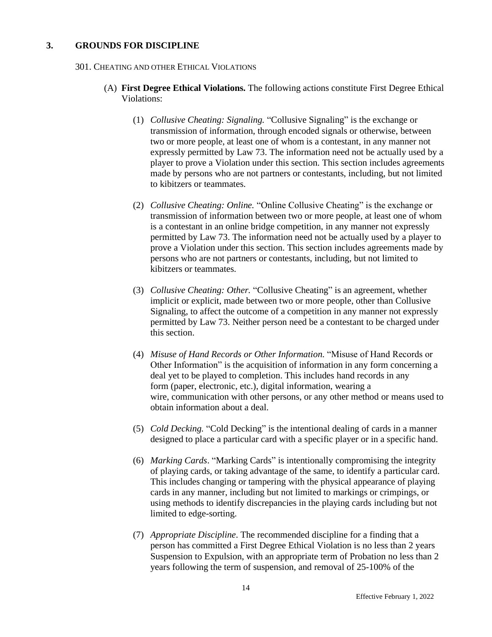## **3. GROUNDS FOR DISCIPLINE**

#### 301. CHEATING AND OTHER ETHICAL VIOLATIONS

- (A) **First Degree Ethical Violations.** The following actions constitute First Degree Ethical Violations:
	- (1) *Collusive Cheating: Signaling.* "Collusive Signaling" is the exchange or transmission of information, through encoded signals or otherwise, between two or more people, at least one of whom is a contestant, in any manner not expressly permitted by Law 73. The information need not be actually used by a player to prove a Violation under this section. This section includes agreements made by persons who are not partners or contestants, including, but not limited to kibitzers or teammates.
	- (2) *Collusive Cheating: Online.* "Online Collusive Cheating" is the exchange or transmission of information between two or more people, at least one of whom is a contestant in an online bridge competition, in any manner not expressly permitted by Law 73. The information need not be actually used by a player to prove a Violation under this section. This section includes agreements made by persons who are not partners or contestants, including, but not limited to kibitzers or teammates.
	- (3) *Collusive Cheating: Other.* "Collusive Cheating" is an agreement, whether implicit or explicit, made between two or more people, other than Collusive Signaling, to affect the outcome of a competition in any manner not expressly permitted by Law 73. Neither person need be a contestant to be charged under this section.
	- (4) *Misuse of Hand Records or Other Information.* "Misuse of Hand Records or Other Information" is the acquisition of information in any form concerning a deal yet to be played to completion. This includes hand records in any form (paper, electronic, etc.), digital information, wearing a wire, communication with other persons, or any other method or means used to obtain information about a deal.
	- (5) *Cold Decking.* "Cold Decking" is the intentional dealing of cards in a manner designed to place a particular card with a specific player or in a specific hand.
	- (6) *Marking Cards*. "Marking Cards" is intentionally compromising the integrity of playing cards, or taking advantage of the same, to identify a particular card. This includes changing or tampering with the physical appearance of playing cards in any manner, including but not limited to markings or crimpings, or using methods to identify discrepancies in the playing cards including but not limited to edge-sorting.
	- (7) *Appropriate Discipline*. The recommended discipline for a finding that a person has committed a First Degree Ethical Violation is no less than 2 years Suspension to Expulsion, with an appropriate term of Probation no less than 2 years following the term of suspension, and removal of 25-100% of the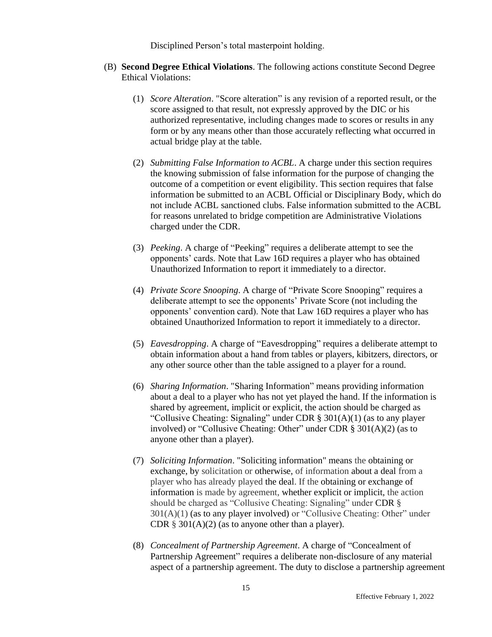Disciplined Person's total masterpoint holding.

- (B) **Second Degree Ethical Violations**. The following actions constitute Second Degree Ethical Violations:
	- (1) *Score Alteration*. "Score alteration" is any revision of a reported result, or the score assigned to that result, not expressly approved by the DIC or his authorized representative, including changes made to scores or results in any form or by any means other than those accurately reflecting what occurred in actual bridge play at the table.
	- (2) *Submitting False Information to ACBL*. A charge under this section requires the knowing submission of false information for the purpose of changing the outcome of a competition or event eligibility. This section requires that false information be submitted to an ACBL Official or Disciplinary Body, which do not include ACBL sanctioned clubs. False information submitted to the ACBL for reasons unrelated to bridge competition are Administrative Violations charged under the CDR.
	- (3) *Peeking*. A charge of "Peeking" requires a deliberate attempt to see the opponents' cards. Note that Law 16D requires a player who has obtained Unauthorized Information to report it immediately to a director.
	- (4) *Private Score Snooping*. A charge of "Private Score Snooping" requires a deliberate attempt to see the opponents' Private Score (not including the opponents' convention card). Note that Law 16D requires a player who has obtained Unauthorized Information to report it immediately to a director.
	- (5) *Eavesdropping*. A charge of "Eavesdropping" requires a deliberate attempt to obtain information about a hand from tables or players, kibitzers, directors, or any other source other than the table assigned to a player for a round.
	- (6) *Sharing Information*. "Sharing Information" means providing information about a deal to a player who has not yet played the hand. If the information is shared by agreement, implicit or explicit, the action should be charged as "Collusive Cheating: Signaling" under CDR  $\S 301(A)(1)$  (as to any player involved) or "Collusive Cheating: Other" under CDR § 301(A)(2) (as to anyone other than a player).
	- (7) *Soliciting Information*. "Soliciting information" means the obtaining or exchange, by solicitation or otherwise, of information about a deal from a player who has already played the deal. If the obtaining or exchange of information is made by agreement, whether explicit or implicit, the action should be charged as "Collusive Cheating: Signaling" under CDR §  $301(A)(1)$  (as to any player involved) or "Collusive Cheating: Other" under CDR  $\S$  301(A)(2) (as to anyone other than a player).
	- (8) *Concealment of Partnership Agreement*. A charge of "Concealment of Partnership Agreement" requires a deliberate non-disclosure of any material aspect of a partnership agreement. The duty to disclose a partnership agreement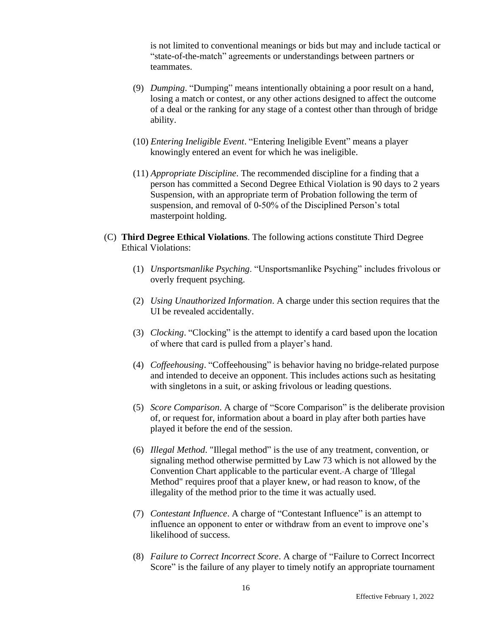is not limited to conventional meanings or bids but may and include tactical or "state-of-the-match" agreements or understandings between partners or teammates.

- (9) *Dumping*. "Dumping" means intentionally obtaining a poor result on a hand, losing a match or contest, or any other actions designed to affect the outcome of a deal or the ranking for any stage of a contest other than through of bridge ability.
- (10) *Entering Ineligible Event*. "Entering Ineligible Event" means a player knowingly entered an event for which he was ineligible.
- (11) *Appropriate Discipline*. The recommended discipline for a finding that a person has committed a Second Degree Ethical Violation is 90 days to 2 years Suspension, with an appropriate term of Probation following the term of suspension, and removal of 0-50% of the Disciplined Person's total masterpoint holding.
- (C) **Third Degree Ethical Violations**. The following actions constitute Third Degree Ethical Violations:
	- (1) *Unsportsmanlike Psyching*. "Unsportsmanlike Psyching" includes frivolous or overly frequent psyching.
	- (2) *Using Unauthorized Information*. A charge under this section requires that the UI be revealed accidentally.
	- (3) *Clocking*. "Clocking" is the attempt to identify a card based upon the location of where that card is pulled from a player's hand.
	- (4) *Coffeehousing*. "Coffeehousing" is behavior having no bridge-related purpose and intended to deceive an opponent. This includes actions such as hesitating with singletons in a suit, or asking frivolous or leading questions.
	- (5) *Score Comparison*. A charge of "Score Comparison" is the deliberate provision of, or request for, information about a board in play after both parties have played it before the end of the session.
	- (6) *Illegal Method*. "Illegal method" is the use of any treatment, convention, or signaling method otherwise permitted by Law 73 which is not allowed by the Convention Chart applicable to the particular event. A charge of 'Illegal Method" requires proof that a player knew, or had reason to know, of the illegality of the method prior to the time it was actually used.
	- (7) *Contestant Influence*. A charge of "Contestant Influence" is an attempt to influence an opponent to enter or withdraw from an event to improve one's likelihood of success.
	- (8) *Failure to Correct Incorrect Score*. A charge of "Failure to Correct Incorrect Score" is the failure of any player to timely notify an appropriate tournament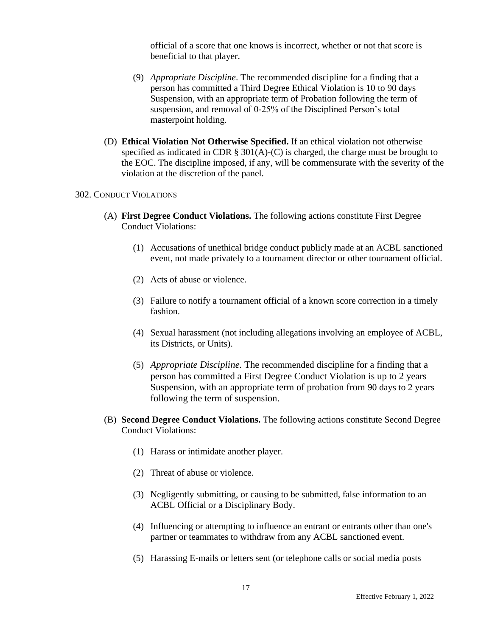official of a score that one knows is incorrect, whether or not that score is beneficial to that player.

- (9) *Appropriate Discipline*. The recommended discipline for a finding that a person has committed a Third Degree Ethical Violation is 10 to 90 days Suspension, with an appropriate term of Probation following the term of suspension, and removal of 0-25% of the Disciplined Person's total masterpoint holding.
- (D) **Ethical Violation Not Otherwise Specified.** If an ethical violation not otherwise specified as indicated in CDR  $\S 301(A)-C$  is charged, the charge must be brought to the EOC. The discipline imposed, if any, will be commensurate with the severity of the violation at the discretion of the panel.

#### 302. CONDUCT VIOLATIONS

- (A) **First Degree Conduct Violations.** The following actions constitute First Degree Conduct Violations:
	- (1) Accusations of unethical bridge conduct publicly made at an ACBL sanctioned event, not made privately to a tournament director or other tournament official.
	- (2) Acts of abuse or violence.
	- (3) Failure to notify a tournament official of a known score correction in a timely fashion.
	- (4) Sexual harassment (not including allegations involving an employee of ACBL, its Districts, or Units).
	- (5) *Appropriate Discipline.* The recommended discipline for a finding that a person has committed a First Degree Conduct Violation is up to 2 years Suspension, with an appropriate term of probation from 90 days to 2 years following the term of suspension.
- (B) **Second Degree Conduct Violations.** The following actions constitute Second Degree Conduct Violations:
	- (1) Harass or intimidate another player.
	- (2) Threat of abuse or violence.
	- (3) Negligently submitting, or causing to be submitted, false information to an ACBL Official or a Disciplinary Body.
	- (4) Influencing or attempting to influence an entrant or entrants other than one's partner or teammates to withdraw from any ACBL sanctioned event.
	- (5) Harassing E-mails or letters sent (or telephone calls or social media posts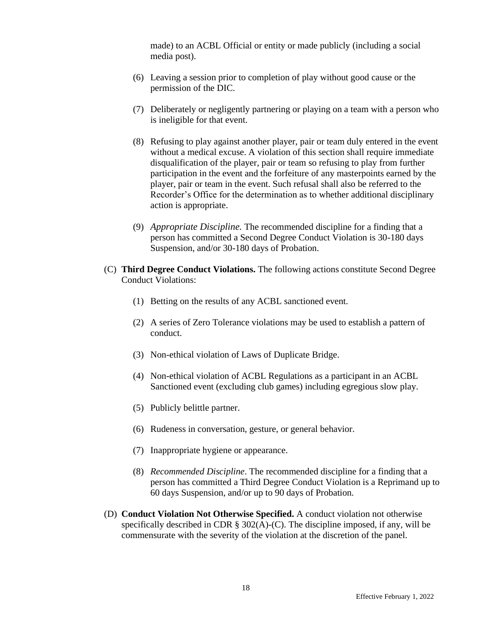made) to an ACBL Official or entity or made publicly (including a social media post).

- (6) Leaving a session prior to completion of play without good cause or the permission of the DIC.
- (7) Deliberately or negligently partnering or playing on a team with a person who is ineligible for that event.
- (8) Refusing to play against another player, pair or team duly entered in the event without a medical excuse. A violation of this section shall require immediate disqualification of the player, pair or team so refusing to play from further participation in the event and the forfeiture of any masterpoints earned by the player, pair or team in the event. Such refusal shall also be referred to the Recorder's Office for the determination as to whether additional disciplinary action is appropriate.
- (9) *Appropriate Discipline.* The recommended discipline for a finding that a person has committed a Second Degree Conduct Violation is 30-180 days Suspension, and/or 30-180 days of Probation.
- (C) **Third Degree Conduct Violations.** The following actions constitute Second Degree Conduct Violations:
	- (1) Betting on the results of any ACBL sanctioned event.
	- (2) A series of Zero Tolerance violations may be used to establish a pattern of conduct.
	- (3) Non-ethical violation of Laws of Duplicate Bridge.
	- (4) Non-ethical violation of ACBL Regulations as a participant in an ACBL Sanctioned event (excluding club games) including egregious slow play.
	- (5) Publicly belittle partner.
	- (6) Rudeness in conversation, gesture, or general behavior.
	- (7) Inappropriate hygiene or appearance.
	- (8) *Recommended Discipline*. The recommended discipline for a finding that a person has committed a Third Degree Conduct Violation is a Reprimand up to 60 days Suspension, and/or up to 90 days of Probation.
- (D) **Conduct Violation Not Otherwise Specified.** A conduct violation not otherwise specifically described in CDR  $\S$  302(A)-(C). The discipline imposed, if any, will be commensurate with the severity of the violation at the discretion of the panel.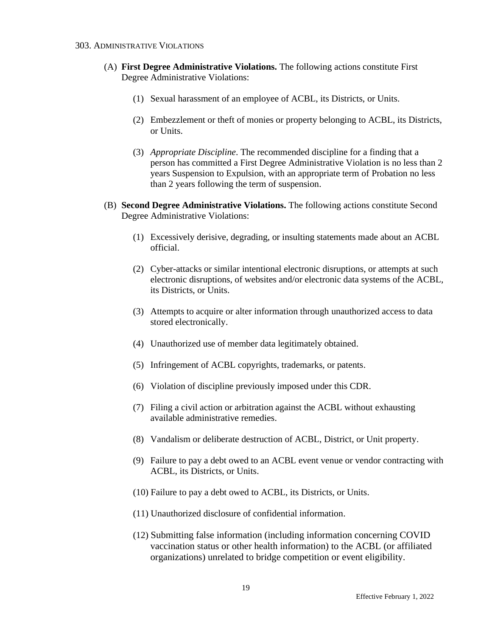#### 303. ADMINISTRATIVE VIOLATIONS

- (A) **First Degree Administrative Violations.** The following actions constitute First Degree Administrative Violations:
	- (1) Sexual harassment of an employee of ACBL, its Districts, or Units.
	- (2) Embezzlement or theft of monies or property belonging to ACBL, its Districts, or Units.
	- (3) *Appropriate Discipline*. The recommended discipline for a finding that a person has committed a First Degree Administrative Violation is no less than 2 years Suspension to Expulsion, with an appropriate term of Probation no less than 2 years following the term of suspension.
- (B) **Second Degree Administrative Violations.** The following actions constitute Second Degree Administrative Violations:
	- (1) Excessively derisive, degrading, or insulting statements made about an ACBL official.
	- (2) Cyber-attacks or similar intentional electronic disruptions, or attempts at such electronic disruptions, of websites and/or electronic data systems of the ACBL, its Districts, or Units.
	- (3) Attempts to acquire or alter information through unauthorized access to data stored electronically.
	- (4) Unauthorized use of member data legitimately obtained.
	- (5) Infringement of ACBL copyrights, trademarks, or patents.
	- (6) Violation of discipline previously imposed under this CDR.
	- (7) Filing a civil action or arbitration against the ACBL without exhausting available administrative remedies.
	- (8) Vandalism or deliberate destruction of ACBL, District, or Unit property.
	- (9) Failure to pay a debt owed to an ACBL event venue or vendor contracting with ACBL, its Districts, or Units.
	- (10) Failure to pay a debt owed to ACBL, its Districts, or Units.
	- (11) Unauthorized disclosure of confidential information.
	- (12) Submitting false information (including information concerning COVID vaccination status or other health information) to the ACBL (or affiliated organizations) unrelated to bridge competition or event eligibility.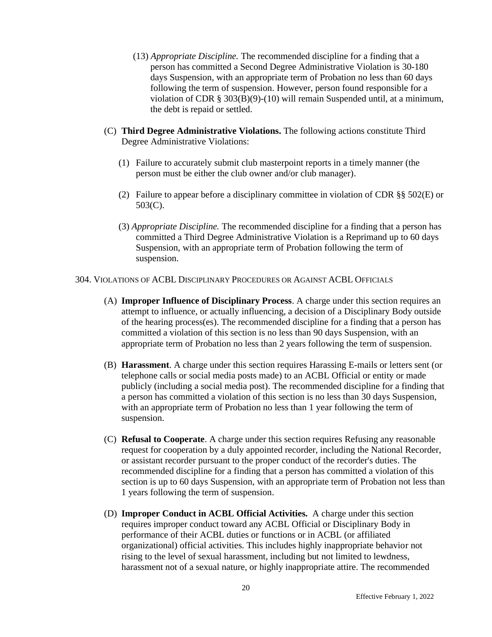- (13) *Appropriate Discipline.* The recommended discipline for a finding that a person has committed a Second Degree Administrative Violation is 30-180 days Suspension, with an appropriate term of Probation no less than 60 days following the term of suspension. However, person found responsible for a violation of CDR § 303(B)(9)-(10) will remain Suspended until, at a minimum, the debt is repaid or settled.
- (C) **Third Degree Administrative Violations.** The following actions constitute Third Degree Administrative Violations:
	- (1) Failure to accurately submit club masterpoint reports in a timely manner (the person must be either the club owner and/or club manager).
	- (2) Failure to appear before a disciplinary committee in violation of CDR §§ 502(E) or 503(C).
	- (3) *Appropriate Discipline.* The recommended discipline for a finding that a person has committed a Third Degree Administrative Violation is a Reprimand up to 60 days Suspension, with an appropriate term of Probation following the term of suspension.

#### 304. VIOLATIONS OF ACBL DISCIPLINARY PROCEDURES OR AGAINST ACBL OFFICIALS

- (A) **Improper Influence of Disciplinary Process**. A charge under this section requires an attempt to influence, or actually influencing, a decision of a Disciplinary Body outside of the hearing process(es). The recommended discipline for a finding that a person has committed a violation of this section is no less than 90 days Suspension, with an appropriate term of Probation no less than 2 years following the term of suspension.
- (B) **Harassment**. A charge under this section requires Harassing E-mails or letters sent (or telephone calls or social media posts made) to an ACBL Official or entity or made publicly (including a social media post). The recommended discipline for a finding that a person has committed a violation of this section is no less than 30 days Suspension, with an appropriate term of Probation no less than 1 year following the term of suspension.
- (C) **Refusal to Cooperate**. A charge under this section requires Refusing any reasonable request for cooperation by a duly appointed recorder, including the National Recorder, or assistant recorder pursuant to the proper conduct of the recorder's duties. The recommended discipline for a finding that a person has committed a violation of this section is up to 60 days Suspension, with an appropriate term of Probation not less than 1 years following the term of suspension.
- (D) **Improper Conduct in ACBL Official Activities.** A charge under this section requires improper conduct toward any ACBL Official or Disciplinary Body in performance of their ACBL duties or functions or in ACBL (or affiliated organizational) official activities. This includes highly inappropriate behavior not rising to the level of sexual harassment, including but not limited to lewdness, harassment not of a sexual nature, or highly inappropriate attire. The recommended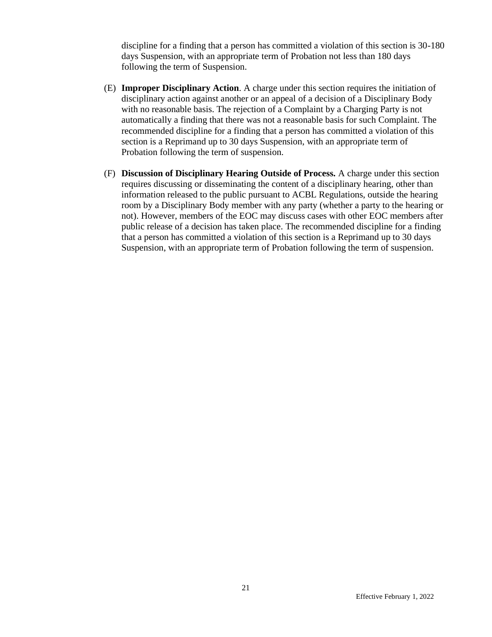discipline for a finding that a person has committed a violation of this section is 30-180 days Suspension, with an appropriate term of Probation not less than 180 days following the term of Suspension.

- (E) **Improper Disciplinary Action**. A charge under this section requires the initiation of disciplinary action against another or an appeal of a decision of a Disciplinary Body with no reasonable basis. The rejection of a Complaint by a Charging Party is not automatically a finding that there was not a reasonable basis for such Complaint. The recommended discipline for a finding that a person has committed a violation of this section is a Reprimand up to 30 days Suspension, with an appropriate term of Probation following the term of suspension.
- (F) **Discussion of Disciplinary Hearing Outside of Process.** A charge under this section requires discussing or disseminating the content of a disciplinary hearing, other than information released to the public pursuant to ACBL Regulations, outside the hearing room by a Disciplinary Body member with any party (whether a party to the hearing or not). However, members of the EOC may discuss cases with other EOC members after public release of a decision has taken place. The recommended discipline for a finding that a person has committed a violation of this section is a Reprimand up to 30 days Suspension, with an appropriate term of Probation following the term of suspension.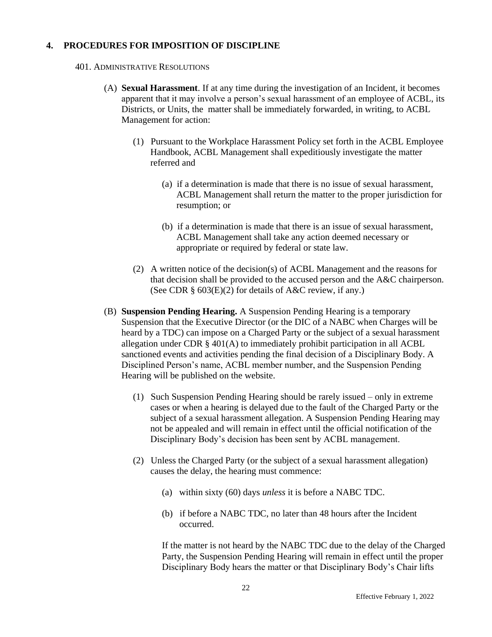## **4. PROCEDURES FOR IMPOSITION OF DISCIPLINE**

#### 401. ADMINISTRATIVE RESOLUTIONS

- (A) **Sexual Harassment**. If at any time during the investigation of an Incident, it becomes apparent that it may involve a person's sexual harassment of an employee of ACBL, its Districts, or Units, the matter shall be immediately forwarded, in writing, to ACBL Management for action:
	- (1) Pursuant to the Workplace Harassment Policy set forth in the ACBL Employee Handbook, ACBL Management shall expeditiously investigate the matter referred and
		- (a) if a determination is made that there is no issue of sexual harassment, ACBL Management shall return the matter to the proper jurisdiction for resumption; or
		- (b) if a determination is made that there is an issue of sexual harassment, ACBL Management shall take any action deemed necessary or appropriate or required by federal or state law.
	- (2) A written notice of the decision(s) of ACBL Management and the reasons for that decision shall be provided to the accused person and the A&C chairperson. (See CDR  $\S$  603(E)(2) for details of A&C review, if any.)
- (B) **Suspension Pending Hearing.** A Suspension Pending Hearing is a temporary Suspension that the Executive Director (or the DIC of a NABC when Charges will be heard by a TDC) can impose on a Charged Party or the subject of a sexual harassment allegation under CDR  $\S$  401(A) to immediately prohibit participation in all ACBL sanctioned events and activities pending the final decision of a Disciplinary Body. A Disciplined Person's name, ACBL member number, and the Suspension Pending Hearing will be published on the website.
	- (1) Such Suspension Pending Hearing should be rarely issued only in extreme cases or when a hearing is delayed due to the fault of the Charged Party or the subject of a sexual harassment allegation. A Suspension Pending Hearing may not be appealed and will remain in effect until the official notification of the Disciplinary Body's decision has been sent by ACBL management.
	- (2) Unless the Charged Party (or the subject of a sexual harassment allegation) causes the delay, the hearing must commence:
		- (a) within sixty (60) days *unless* it is before a NABC TDC.
		- (b) if before a NABC TDC, no later than 48 hours after the Incident occurred.

If the matter is not heard by the NABC TDC due to the delay of the Charged Party, the Suspension Pending Hearing will remain in effect until the proper Disciplinary Body hears the matter or that Disciplinary Body's Chair lifts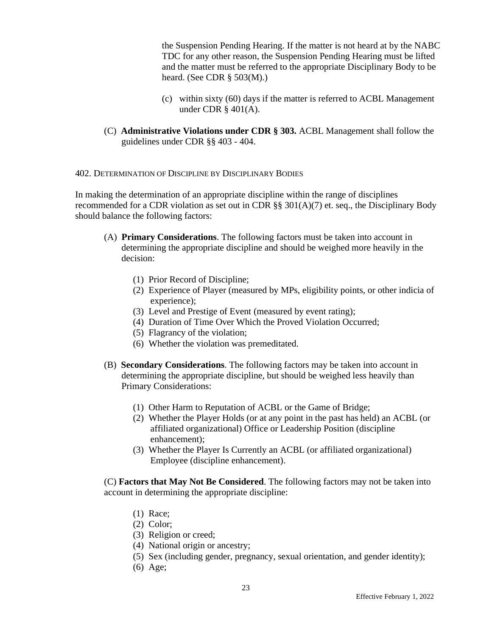the Suspension Pending Hearing. If the matter is not heard at by the NABC TDC for any other reason, the Suspension Pending Hearing must be lifted and the matter must be referred to the appropriate Disciplinary Body to be heard. (See CDR § 503(M).)

- (c) within sixty (60) days if the matter is referred to ACBL Management under CDR § 401(A).
- (C) **Administrative Violations under CDR § 303.** ACBL Management shall follow the guidelines under CDR §§ 403 - 404.

402. DETERMINATION OF DISCIPLINE BY DISCIPLINARY BODIES

In making the determination of an appropriate discipline within the range of disciplines recommended for a CDR violation as set out in CDR §§  $301(A)(7)$  et. seq., the Disciplinary Body should balance the following factors:

- (A) **Primary Considerations**. The following factors must be taken into account in determining the appropriate discipline and should be weighed more heavily in the decision:
	- (1) Prior Record of Discipline;
	- (2) Experience of Player (measured by MPs, eligibility points, or other indicia of experience);
	- (3) Level and Prestige of Event (measured by event rating);
	- (4) Duration of Time Over Which the Proved Violation Occurred;
	- (5) Flagrancy of the violation;
	- (6) Whether the violation was premeditated.
- (B) **Secondary Considerations**. The following factors may be taken into account in determining the appropriate discipline, but should be weighed less heavily than Primary Considerations:
	- (1) Other Harm to Reputation of ACBL or the Game of Bridge;
	- (2) Whether the Player Holds (or at any point in the past has held) an ACBL (or affiliated organizational) Office or Leadership Position (discipline enhancement);
	- (3) Whether the Player Is Currently an ACBL (or affiliated organizational) Employee (discipline enhancement).

(C) **Factors that May Not Be Considered**. The following factors may not be taken into account in determining the appropriate discipline:

- (1) Race;
- (2) Color;
- (3) Religion or creed;
- (4) National origin or ancestry;
- (5) Sex (including gender, pregnancy, sexual orientation, and gender identity);
- (6) Age;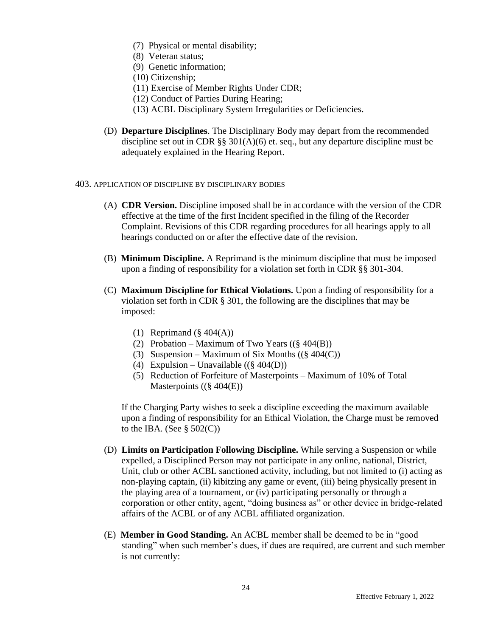- (7) Physical or mental disability;
- (8) Veteran status;
- (9) Genetic information;
- (10) Citizenship;
- (11) Exercise of Member Rights Under CDR;
- (12) Conduct of Parties During Hearing;
- (13) ACBL Disciplinary System Irregularities or Deficiencies.
- (D) **Departure Disciplines**. The Disciplinary Body may depart from the recommended discipline set out in CDR  $\S$ § 301(A)(6) et. seq., but any departure discipline must be adequately explained in the Hearing Report.
- 403. APPLICATION OF DISCIPLINE BY DISCIPLINARY BODIES
	- (A) **CDR Version.** Discipline imposed shall be in accordance with the version of the CDR effective at the time of the first Incident specified in the filing of the Recorder Complaint. Revisions of this CDR regarding procedures for all hearings apply to all hearings conducted on or after the effective date of the revision.
	- (B) **Minimum Discipline.** A Reprimand is the minimum discipline that must be imposed upon a finding of responsibility for a violation set forth in CDR §§ 301-304.
	- (C) **Maximum Discipline for Ethical Violations.** Upon a finding of responsibility for a violation set forth in CDR § 301, the following are the disciplines that may be imposed:
		- (1) Reprimand  $(\S$  404(A))
		- (2) Probation Maximum of Two Years  $((\S 404(B)))$
		- (3) Suspension Maximum of Six Months  $((\S 404(C)))$
		- (4) Expulsion Unavailable  $((\S 404(D)))$
		- (5) Reduction of Forfeiture of Masterpoints Maximum of 10% of Total Masterpoints ((§ 404(E))

If the Charging Party wishes to seek a discipline exceeding the maximum available upon a finding of responsibility for an Ethical Violation, the Charge must be removed to the IBA. (See  $\S$  502(C))

- (D) **Limits on Participation Following Discipline.** While serving a Suspension or while expelled, a Disciplined Person may not participate in any online, national, District, Unit, club or other ACBL sanctioned activity, including, but not limited to (i) acting as non-playing captain, (ii) kibitzing any game or event, (iii) being physically present in the playing area of a tournament, or (iv) participating personally or through a corporation or other entity, agent, "doing business as" or other device in bridge-related affairs of the ACBL or of any ACBL affiliated organization.
- (E) **Member in Good Standing.** An ACBL member shall be deemed to be in "good standing" when such member's dues, if dues are required, are current and such member is not currently: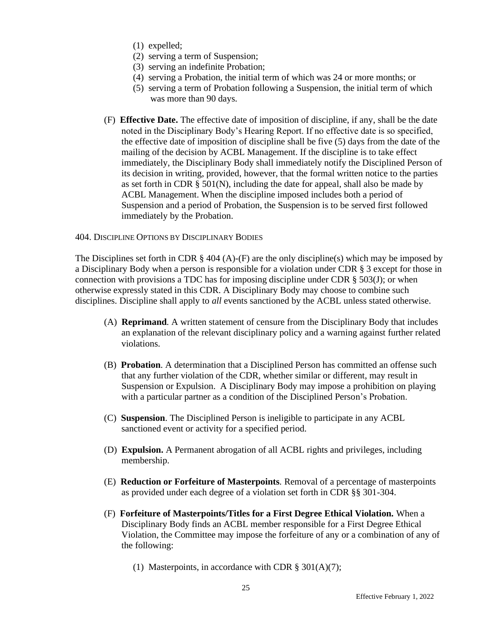- (1) expelled;
- (2) serving a term of Suspension;
- (3) serving an indefinite Probation;
- (4) serving a Probation, the initial term of which was 24 or more months; or
- (5) serving a term of Probation following a Suspension, the initial term of which was more than 90 days.
- (F) **Effective Date.** The effective date of imposition of discipline, if any, shall be the date noted in the Disciplinary Body's Hearing Report. If no effective date is so specified, the effective date of imposition of discipline shall be five (5) days from the date of the mailing of the decision by ACBL Management. If the discipline is to take effect immediately, the Disciplinary Body shall immediately notify the Disciplined Person of its decision in writing, provided, however, that the formal written notice to the parties as set forth in CDR  $\S$  501(N), including the date for appeal, shall also be made by ACBL Management. When the discipline imposed includes both a period of Suspension and a period of Probation, the Suspension is to be served first followed immediately by the Probation.

#### 404. DISCIPLINE OPTIONS BY DISCIPLINARY BODIES

The Disciplines set forth in CDR  $\S$  404 (A)-(F) are the only discipline(s) which may be imposed by a Disciplinary Body when a person is responsible for a violation under CDR § 3 except for those in connection with provisions a TDC has for imposing discipline under CDR § 503(J); or when otherwise expressly stated in this CDR. A Disciplinary Body may choose to combine such disciplines. Discipline shall apply to *all* events sanctioned by the ACBL unless stated otherwise.

- (A) **Reprimand***.* A written statement of censure from the Disciplinary Body that includes an explanation of the relevant disciplinary policy and a warning against further related violations.
- (B) **Probation**. A determination that a Disciplined Person has committed an offense such that any further violation of the CDR, whether similar or different, may result in Suspension or Expulsion. A Disciplinary Body may impose a prohibition on playing with a particular partner as a condition of the Disciplined Person's Probation.
- (C) **Suspension**. The Disciplined Person is ineligible to participate in any ACBL sanctioned event or activity for a specified period.
- (D) **Expulsion.** A Permanent abrogation of all ACBL rights and privileges, including membership.
- (E) **Reduction or Forfeiture of Masterpoints***.* Removal of a percentage of masterpoints as provided under each degree of a violation set forth in CDR §§ 301-304.
- (F) **Forfeiture of Masterpoints/Titles for a First Degree Ethical Violation.** When a Disciplinary Body finds an ACBL member responsible for a First Degree Ethical Violation, the Committee may impose the forfeiture of any or a combination of any of the following:
	- (1) Masterpoints, in accordance with CDR  $\S 301(A)(7)$ ;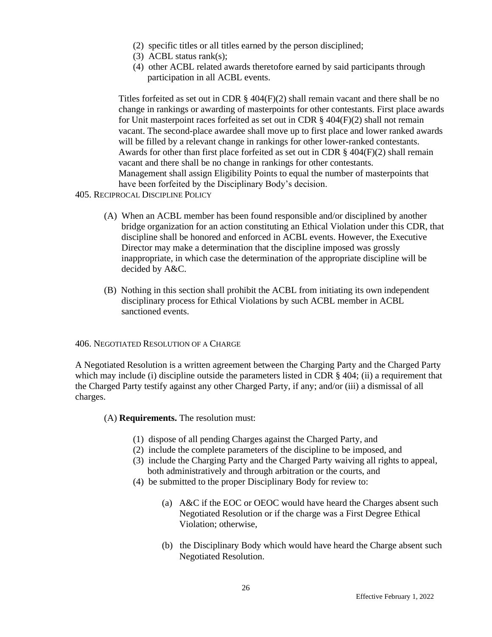- (2) specific titles or all titles earned by the person disciplined;
- (3) ACBL status rank(s);
- (4) other ACBL related awards theretofore earned by said participants through participation in all ACBL events.

Titles forfeited as set out in CDR  $\S$  404(F)(2) shall remain vacant and there shall be no change in rankings or awarding of masterpoints for other contestants. First place awards for Unit masterpoint races forfeited as set out in CDR  $\S$  404(F)(2) shall not remain vacant. The second-place awardee shall move up to first place and lower ranked awards will be filled by a relevant change in rankings for other lower-ranked contestants. Awards for other than first place forfeited as set out in CDR  $\S$  404(F)(2) shall remain vacant and there shall be no change in rankings for other contestants. Management shall assign Eligibility Points to equal the number of masterpoints that have been forfeited by the Disciplinary Body's decision.

- 405. RECIPROCAL DISCIPLINE POLICY
	- (A) When an ACBL member has been found responsible and/or disciplined by another bridge organization for an action constituting an Ethical Violation under this CDR, that discipline shall be honored and enforced in ACBL events. However, the Executive Director may make a determination that the discipline imposed was grossly inappropriate, in which case the determination of the appropriate discipline will be decided by A&C.
	- (B) Nothing in this section shall prohibit the ACBL from initiating its own independent disciplinary process for Ethical Violations by such ACBL member in ACBL sanctioned events.

406. NEGOTIATED RESOLUTION OF A CHARGE

A Negotiated Resolution is a written agreement between the Charging Party and the Charged Party which may include (i) discipline outside the parameters listed in CDR § 404; (ii) a requirement that the Charged Party testify against any other Charged Party, if any; and/or (iii) a dismissal of all charges.

(A) **Requirements.** The resolution must:

- (1) dispose of all pending Charges against the Charged Party, and
- (2) include the complete parameters of the discipline to be imposed, and
- (3) include the Charging Party and the Charged Party waiving all rights to appeal, both administratively and through arbitration or the courts, and
- (4) be submitted to the proper Disciplinary Body for review to:
	- (a) A&C if the EOC or OEOC would have heard the Charges absent such Negotiated Resolution or if the charge was a First Degree Ethical Violation; otherwise,
	- (b) the Disciplinary Body which would have heard the Charge absent such Negotiated Resolution.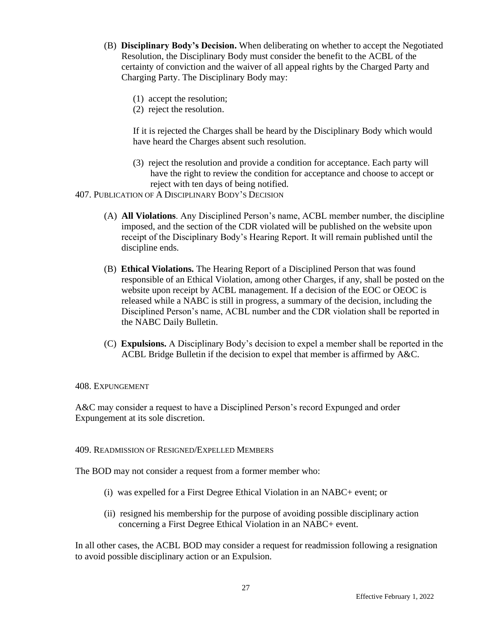- (B) **Disciplinary Body's Decision.** When deliberating on whether to accept the Negotiated Resolution, the Disciplinary Body must consider the benefit to the ACBL of the certainty of conviction and the waiver of all appeal rights by the Charged Party and Charging Party. The Disciplinary Body may:
	- (1) accept the resolution;
	- (2) reject the resolution.

If it is rejected the Charges shall be heard by the Disciplinary Body which would have heard the Charges absent such resolution.

- (3) reject the resolution and provide a condition for acceptance. Each party will have the right to review the condition for acceptance and choose to accept or reject with ten days of being notified.
- 407. PUBLICATION OF A DISCIPLINARY BODY'S DECISION
	- (A) **All Violations**. Any Disciplined Person's name, ACBL member number, the discipline imposed, and the section of the CDR violated will be published on the website upon receipt of the Disciplinary Body's Hearing Report. It will remain published until the discipline ends.
	- (B) **Ethical Violations.** The Hearing Report of a Disciplined Person that was found responsible of an Ethical Violation, among other Charges, if any, shall be posted on the website upon receipt by ACBL management. If a decision of the EOC or OEOC is released while a NABC is still in progress, a summary of the decision, including the Disciplined Person's name, ACBL number and the CDR violation shall be reported in the NABC Daily Bulletin.
	- (C) **Expulsions.** A Disciplinary Body's decision to expel a member shall be reported in the ACBL Bridge Bulletin if the decision to expel that member is affirmed by A&C.

#### 408. EXPUNGEMENT

A&C may consider a request to have a Disciplined Person's record Expunged and order Expungement at its sole discretion.

#### 409. READMISSION OF RESIGNED/EXPELLED MEMBERS

The BOD may not consider a request from a former member who:

- (i) was expelled for a First Degree Ethical Violation in an NABC+ event; or
- (ii) resigned his membership for the purpose of avoiding possible disciplinary action concerning a First Degree Ethical Violation in an NABC+ event.

In all other cases, the ACBL BOD may consider a request for readmission following a resignation to avoid possible disciplinary action or an Expulsion.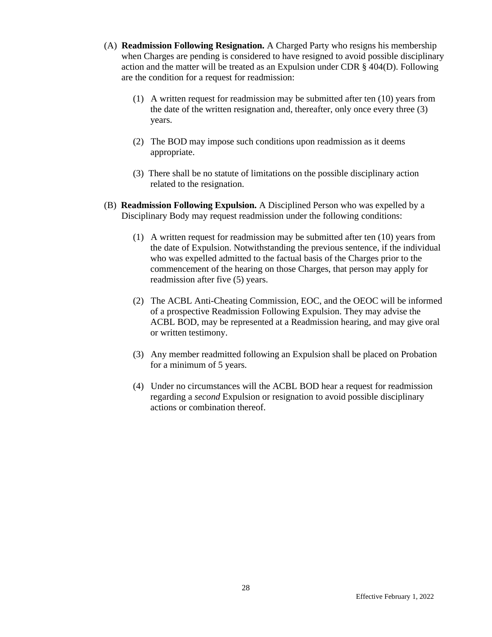- (A) **Readmission Following Resignation.** A Charged Party who resigns his membership when Charges are pending is considered to have resigned to avoid possible disciplinary action and the matter will be treated as an Expulsion under CDR § 404(D). Following are the condition for a request for readmission:
	- (1) A written request for readmission may be submitted after ten (10) years from the date of the written resignation and, thereafter, only once every three (3) years.
	- (2) The BOD may impose such conditions upon readmission as it deems appropriate.
	- (3) There shall be no statute of limitations on the possible disciplinary action related to the resignation.
- (B) **Readmission Following Expulsion.** A Disciplined Person who was expelled by a Disciplinary Body may request readmission under the following conditions:
	- (1) A written request for readmission may be submitted after ten (10) years from the date of Expulsion. Notwithstanding the previous sentence, if the individual who was expelled admitted to the factual basis of the Charges prior to the commencement of the hearing on those Charges, that person may apply for readmission after five (5) years.
	- (2) The ACBL Anti-Cheating Commission, EOC, and the OEOC will be informed of a prospective Readmission Following Expulsion. They may advise the ACBL BOD, may be represented at a Readmission hearing, and may give oral or written testimony.
	- (3) Any member readmitted following an Expulsion shall be placed on Probation for a minimum of 5 years.
	- (4) Under no circumstances will the ACBL BOD hear a request for readmission regarding a *second* Expulsion or resignation to avoid possible disciplinary actions or combination thereof.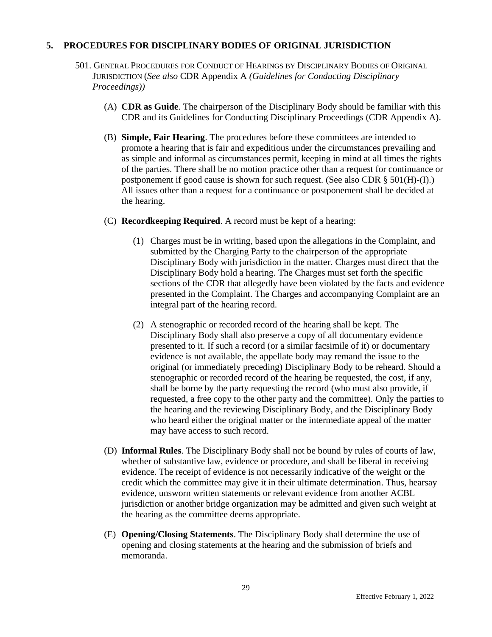#### **5. PROCEDURES FOR DISCIPLINARY BODIES OF ORIGINAL JURISDICTION**

- 501. GENERAL PROCEDURES FOR CONDUCT OF HEARINGS BY DISCIPLINARY BODIES OF ORIGINAL JURISDICTION (*See also* CDR Appendix A *(Guidelines for Conducting Disciplinary Proceedings))*
	- (A) **CDR as Guide**. The chairperson of the Disciplinary Body should be familiar with this CDR and its Guidelines for Conducting Disciplinary Proceedings (CDR Appendix A).
	- (B) **Simple, Fair Hearing**. The procedures before these committees are intended to promote a hearing that is fair and expeditious under the circumstances prevailing and as simple and informal as circumstances permit, keeping in mind at all times the rights of the parties. There shall be no motion practice other than a request for continuance or postponement if good cause is shown for such request. (See also CDR  $\S$  501(H)-(I).) All issues other than a request for a continuance or postponement shall be decided at the hearing.
	- (C) **Recordkeeping Required**. A record must be kept of a hearing:
		- (1) Charges must be in writing, based upon the allegations in the Complaint, and submitted by the Charging Party to the chairperson of the appropriate Disciplinary Body with jurisdiction in the matter. Charges must direct that the Disciplinary Body hold a hearing. The Charges must set forth the specific sections of the CDR that allegedly have been violated by the facts and evidence presented in the Complaint. The Charges and accompanying Complaint are an integral part of the hearing record.
		- (2) A stenographic or recorded record of the hearing shall be kept. The Disciplinary Body shall also preserve a copy of all documentary evidence presented to it. If such a record (or a similar facsimile of it) or documentary evidence is not available, the appellate body may remand the issue to the original (or immediately preceding) Disciplinary Body to be reheard. Should a stenographic or recorded record of the hearing be requested, the cost, if any, shall be borne by the party requesting the record (who must also provide, if requested, a free copy to the other party and the committee). Only the parties to the hearing and the reviewing Disciplinary Body, and the Disciplinary Body who heard either the original matter or the intermediate appeal of the matter may have access to such record.
	- (D) **Informal Rules**. The Disciplinary Body shall not be bound by rules of courts of law, whether of substantive law, evidence or procedure, and shall be liberal in receiving evidence. The receipt of evidence is not necessarily indicative of the weight or the credit which the committee may give it in their ultimate determination. Thus, hearsay evidence, unsworn written statements or relevant evidence from another ACBL jurisdiction or another bridge organization may be admitted and given such weight at the hearing as the committee deems appropriate.
	- (E) **Opening/Closing Statements**. The Disciplinary Body shall determine the use of opening and closing statements at the hearing and the submission of briefs and memoranda.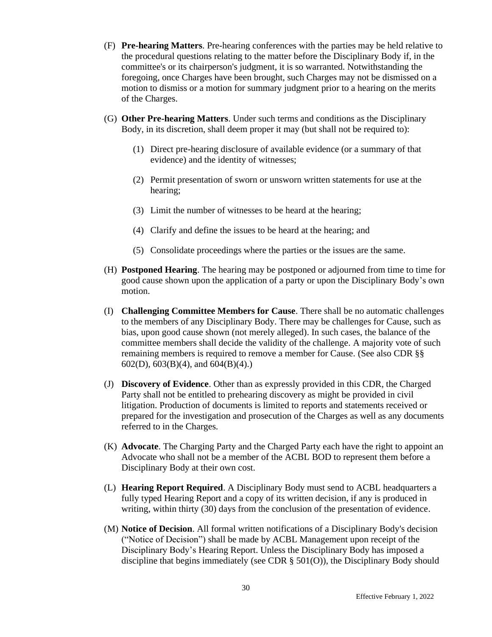- (F) **Pre-hearing Matters**. Pre-hearing conferences with the parties may be held relative to the procedural questions relating to the matter before the Disciplinary Body if, in the committee's or its chairperson's judgment, it is so warranted. Notwithstanding the foregoing, once Charges have been brought, such Charges may not be dismissed on a motion to dismiss or a motion for summary judgment prior to a hearing on the merits of the Charges.
- (G) **Other Pre-hearing Matters**. Under such terms and conditions as the Disciplinary Body, in its discretion, shall deem proper it may (but shall not be required to):
	- (1) Direct pre-hearing disclosure of available evidence (or a summary of that evidence) and the identity of witnesses;
	- (2) Permit presentation of sworn or unsworn written statements for use at the hearing;
	- (3) Limit the number of witnesses to be heard at the hearing;
	- (4) Clarify and define the issues to be heard at the hearing; and
	- (5) Consolidate proceedings where the parties or the issues are the same.
- (H) **Postponed Hearing**. The hearing may be postponed or adjourned from time to time for good cause shown upon the application of a party or upon the Disciplinary Body's own motion.
- (I) **Challenging Committee Members for Cause**. There shall be no automatic challenges to the members of any Disciplinary Body. There may be challenges for Cause, such as bias, upon good cause shown (not merely alleged). In such cases, the balance of the committee members shall decide the validity of the challenge. A majority vote of such remaining members is required to remove a member for Cause. (See also CDR §§ 602(D), 603(B)(4), and 604(B)(4).)
- (J) **Discovery of Evidence**. Other than as expressly provided in this CDR, the Charged Party shall not be entitled to prehearing discovery as might be provided in civil litigation. Production of documents is limited to reports and statements received or prepared for the investigation and prosecution of the Charges as well as any documents referred to in the Charges.
- (K) **Advocate**. The Charging Party and the Charged Party each have the right to appoint an Advocate who shall not be a member of the ACBL BOD to represent them before a Disciplinary Body at their own cost.
- (L) **Hearing Report Required**. A Disciplinary Body must send to ACBL headquarters a fully typed Hearing Report and a copy of its written decision, if any is produced in writing, within thirty (30) days from the conclusion of the presentation of evidence.
- (M) **Notice of Decision**. All formal written notifications of a Disciplinary Body's decision ("Notice of Decision") shall be made by ACBL Management upon receipt of the Disciplinary Body's Hearing Report. Unless the Disciplinary Body has imposed a discipline that begins immediately (see CDR § 501(O)), the Disciplinary Body should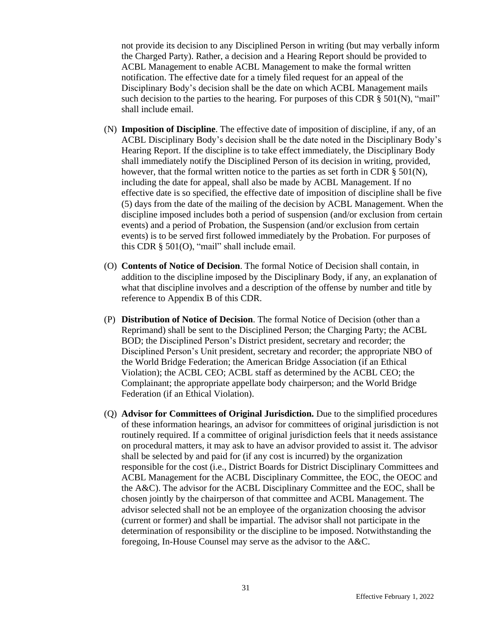not provide its decision to any Disciplined Person in writing (but may verbally inform the Charged Party). Rather, a decision and a Hearing Report should be provided to ACBL Management to enable ACBL Management to make the formal written notification. The effective date for a timely filed request for an appeal of the Disciplinary Body's decision shall be the date on which ACBL Management mails such decision to the parties to the hearing. For purposes of this CDR  $\S$  501(N), "mail" shall include email.

- (N) **Imposition of Discipline**. The effective date of imposition of discipline, if any, of an ACBL Disciplinary Body's decision shall be the date noted in the Disciplinary Body's Hearing Report. If the discipline is to take effect immediately, the Disciplinary Body shall immediately notify the Disciplined Person of its decision in writing, provided, however, that the formal written notice to the parties as set forth in CDR  $\S$  501(N), including the date for appeal, shall also be made by ACBL Management. If no effective date is so specified, the effective date of imposition of discipline shall be five (5) days from the date of the mailing of the decision by ACBL Management. When the discipline imposed includes both a period of suspension (and/or exclusion from certain events) and a period of Probation, the Suspension (and/or exclusion from certain events) is to be served first followed immediately by the Probation. For purposes of this CDR § 501(O), "mail" shall include email.
- (O) **Contents of Notice of Decision**. The formal Notice of Decision shall contain, in addition to the discipline imposed by the Disciplinary Body, if any, an explanation of what that discipline involves and a description of the offense by number and title by reference to Appendix B of this CDR.
- (P) **Distribution of Notice of Decision**. The formal Notice of Decision (other than a Reprimand) shall be sent to the Disciplined Person; the Charging Party; the ACBL BOD; the Disciplined Person's District president, secretary and recorder; the Disciplined Person's Unit president, secretary and recorder; the appropriate NBO of the World Bridge Federation; the American Bridge Association (if an Ethical Violation); the ACBL CEO; ACBL staff as determined by the ACBL CEO; the Complainant; the appropriate appellate body chairperson; and the World Bridge Federation (if an Ethical Violation).
- (Q) **Advisor for Committees of Original Jurisdiction.** Due to the simplified procedures of these information hearings, an advisor for committees of original jurisdiction is not routinely required. If a committee of original jurisdiction feels that it needs assistance on procedural matters, it may ask to have an advisor provided to assist it. The advisor shall be selected by and paid for (if any cost is incurred) by the organization responsible for the cost (i.e., District Boards for District Disciplinary Committees and ACBL Management for the ACBL Disciplinary Committee, the EOC, the OEOC and the A&C). The advisor for the ACBL Disciplinary Committee and the EOC, shall be chosen jointly by the chairperson of that committee and ACBL Management. The advisor selected shall not be an employee of the organization choosing the advisor (current or former) and shall be impartial. The advisor shall not participate in the determination of responsibility or the discipline to be imposed. Notwithstanding the foregoing, In-House Counsel may serve as the advisor to the A&C.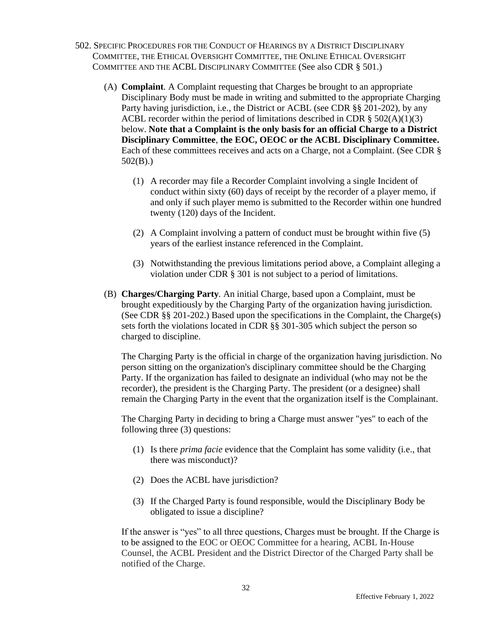- 502. SPECIFIC PROCEDURES FOR THE CONDUCT OF HEARINGS BY A DISTRICT DISCIPLINARY COMMITTEE, THE ETHICAL OVERSIGHT COMMITTEE, THE ONLINE ETHICAL OVERSIGHT COMMITTEE AND THE ACBL DISCIPLINARY COMMITTEE (See also CDR § 501.)
	- (A) **Complaint***.* A Complaint requesting that Charges be brought to an appropriate Disciplinary Body must be made in writing and submitted to the appropriate Charging Party having jurisdiction, i.e., the District or ACBL (see CDR §§ 201-202), by any ACBL recorder within the period of limitations described in CDR  $\S$  502(A)(1)(3) below. **Note that a Complaint is the only basis for an official Charge to a District Disciplinary Committee**, **the EOC, OEOC or the ACBL Disciplinary Committee.** Each of these committees receives and acts on a Charge, not a Complaint. (See CDR § 502(B).)
		- (1) A recorder may file a Recorder Complaint involving a single Incident of conduct within sixty (60) days of receipt by the recorder of a player memo, if and only if such player memo is submitted to the Recorder within one hundred twenty (120) days of the Incident.
		- (2) A Complaint involving a pattern of conduct must be brought within five (5) years of the earliest instance referenced in the Complaint.
		- (3) Notwithstanding the previous limitations period above, a Complaint alleging a violation under CDR § 301 is not subject to a period of limitations.
	- (B) **Charges/Charging Party***.* An initial Charge, based upon a Complaint, must be brought expeditiously by the Charging Party of the organization having jurisdiction. (See CDR §§ 201-202.) Based upon the specifications in the Complaint, the Charge(s) sets forth the violations located in CDR §§ 301-305 which subject the person so charged to discipline.

The Charging Party is the official in charge of the organization having jurisdiction. No person sitting on the organization's disciplinary committee should be the Charging Party. If the organization has failed to designate an individual (who may not be the recorder), the president is the Charging Party. The president (or a designee) shall remain the Charging Party in the event that the organization itself is the Complainant.

The Charging Party in deciding to bring a Charge must answer "yes" to each of the following three (3) questions:

- (1) Is there *prima facie* evidence that the Complaint has some validity (i.e., that there was misconduct)?
- (2) Does the ACBL have jurisdiction?
- (3) If the Charged Party is found responsible, would the Disciplinary Body be obligated to issue a discipline?

If the answer is "yes" to all three questions, Charges must be brought. If the Charge is to be assigned to the EOC or OEOC Committee for a hearing, ACBL In-House Counsel, the ACBL President and the District Director of the Charged Party shall be notified of the Charge.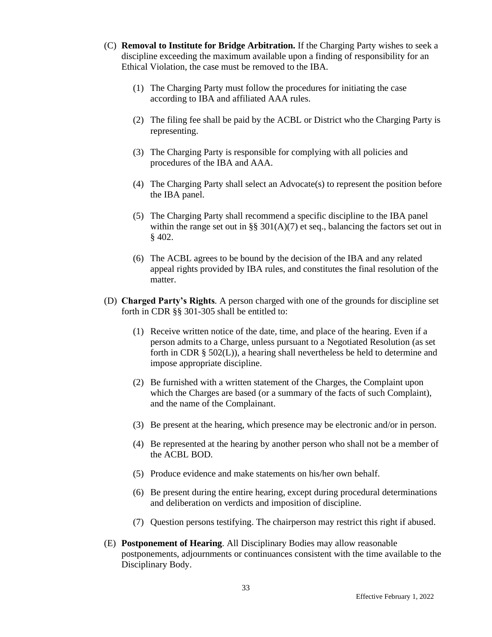- (C) **Removal to Institute for Bridge Arbitration.** If the Charging Party wishes to seek a discipline exceeding the maximum available upon a finding of responsibility for an Ethical Violation, the case must be removed to the IBA.
	- (1) The Charging Party must follow the procedures for initiating the case according to IBA and affiliated AAA rules.
	- (2) The filing fee shall be paid by the ACBL or District who the Charging Party is representing.
	- (3) The Charging Party is responsible for complying with all policies and procedures of the IBA and AAA.
	- (4) The Charging Party shall select an Advocate(s) to represent the position before the IBA panel.
	- (5) The Charging Party shall recommend a specific discipline to the IBA panel within the range set out in §§  $301(A)(7)$  et seq., balancing the factors set out in § 402.
	- (6) The ACBL agrees to be bound by the decision of the IBA and any related appeal rights provided by IBA rules, and constitutes the final resolution of the matter.
- (D) **Charged Party's Rights***.* A person charged with one of the grounds for discipline set forth in CDR §§ 301-305 shall be entitled to:
	- (1) Receive written notice of the date, time, and place of the hearing. Even if a person admits to a Charge, unless pursuant to a Negotiated Resolution (as set forth in CDR  $\S$  502(L)), a hearing shall nevertheless be held to determine and impose appropriate discipline.
	- (2) Be furnished with a written statement of the Charges, the Complaint upon which the Charges are based (or a summary of the facts of such Complaint), and the name of the Complainant.
	- (3) Be present at the hearing, which presence may be electronic and/or in person.
	- (4) Be represented at the hearing by another person who shall not be a member of the ACBL BOD.
	- (5) Produce evidence and make statements on his/her own behalf.
	- (6) Be present during the entire hearing, except during procedural determinations and deliberation on verdicts and imposition of discipline.
	- (7) Question persons testifying. The chairperson may restrict this right if abused.
- (E) **Postponement of Hearing**. All Disciplinary Bodies may allow reasonable postponements, adjournments or continuances consistent with the time available to the Disciplinary Body.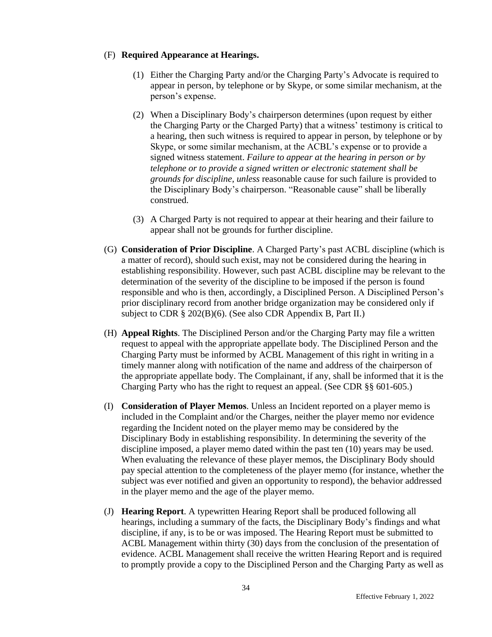## (F) **Required Appearance at Hearings.**

- (1) Either the Charging Party and/or the Charging Party's Advocate is required to appear in person, by telephone or by Skype, or some similar mechanism, at the person's expense.
- (2) When a Disciplinary Body's chairperson determines (upon request by either the Charging Party or the Charged Party) that a witness' testimony is critical to a hearing, then such witness is required to appear in person, by telephone or by Skype, or some similar mechanism, at the ACBL's expense or to provide a signed witness statement. *Failure to appear at the hearing in person or by telephone or to provide a signed written or electronic statement shall be grounds for discipline, unless* reasonable cause for such failure is provided to the Disciplinary Body's chairperson. "Reasonable cause" shall be liberally construed.
- (3) A Charged Party is not required to appear at their hearing and their failure to appear shall not be grounds for further discipline.
- (G) **Consideration of Prior Discipline**. A Charged Party's past ACBL discipline (which is a matter of record), should such exist, may not be considered during the hearing in establishing responsibility. However, such past ACBL discipline may be relevant to the determination of the severity of the discipline to be imposed if the person is found responsible and who is then, accordingly, a Disciplined Person. A Disciplined Person's prior disciplinary record from another bridge organization may be considered only if subject to CDR § 202(B)(6). (See also CDR Appendix B, Part II.)
- (H) **Appeal Rights**. The Disciplined Person and/or the Charging Party may file a written request to appeal with the appropriate appellate body. The Disciplined Person and the Charging Party must be informed by ACBL Management of this right in writing in a timely manner along with notification of the name and address of the chairperson of the appropriate appellate body. The Complainant, if any, shall be informed that it is the Charging Party who has the right to request an appeal. (See CDR §§ 601-605.)
- (I) **Consideration of Player Memos**. Unless an Incident reported on a player memo is included in the Complaint and/or the Charges, neither the player memo nor evidence regarding the Incident noted on the player memo may be considered by the Disciplinary Body in establishing responsibility. In determining the severity of the discipline imposed, a player memo dated within the past ten (10) years may be used. When evaluating the relevance of these player memos, the Disciplinary Body should pay special attention to the completeness of the player memo (for instance, whether the subject was ever notified and given an opportunity to respond), the behavior addressed in the player memo and the age of the player memo.
- (J) **Hearing Report**. A typewritten Hearing Report shall be produced following all hearings, including a summary of the facts, the Disciplinary Body's findings and what discipline, if any, is to be or was imposed. The Hearing Report must be submitted to ACBL Management within thirty (30) days from the conclusion of the presentation of evidence. ACBL Management shall receive the written Hearing Report and is required to promptly provide a copy to the Disciplined Person and the Charging Party as well as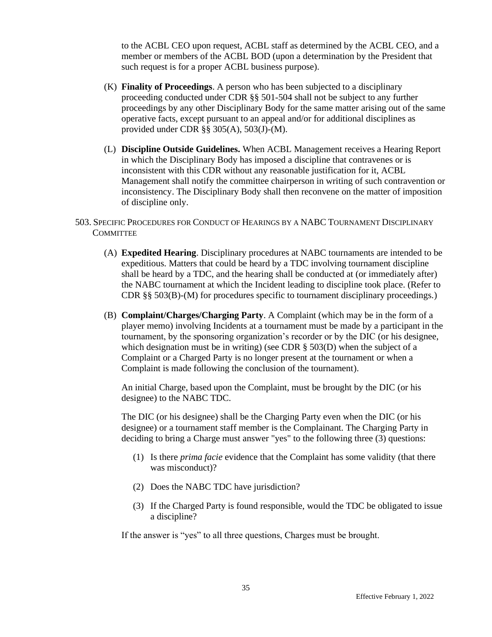to the ACBL CEO upon request, ACBL staff as determined by the ACBL CEO, and a member or members of the ACBL BOD (upon a determination by the President that such request is for a proper ACBL business purpose).

- (K) **Finality of Proceedings**. A person who has been subjected to a disciplinary proceeding conducted under CDR §§ 501-504 shall not be subject to any further proceedings by any other Disciplinary Body for the same matter arising out of the same operative facts, except pursuant to an appeal and/or for additional disciplines as provided under CDR §§ 305(A), 503(J)-(M).
- (L) **Discipline Outside Guidelines.** When ACBL Management receives a Hearing Report in which the Disciplinary Body has imposed a discipline that contravenes or is inconsistent with this CDR without any reasonable justification for it, ACBL Management shall notify the committee chairperson in writing of such contravention or inconsistency. The Disciplinary Body shall then reconvene on the matter of imposition of discipline only.
- 503. SPECIFIC PROCEDURES FOR CONDUCT OF HEARINGS BY A NABC TOURNAMENT DISCIPLINARY **COMMITTEE** 
	- (A) **Expedited Hearing**. Disciplinary procedures at NABC tournaments are intended to be expeditious. Matters that could be heard by a TDC involving tournament discipline shall be heard by a TDC, and the hearing shall be conducted at (or immediately after) the NABC tournament at which the Incident leading to discipline took place. (Refer to CDR §§ 503(B)-(M) for procedures specific to tournament disciplinary proceedings.)
	- (B) **Complaint/Charges/Charging Party**. A Complaint (which may be in the form of a player memo) involving Incidents at a tournament must be made by a participant in the tournament, by the sponsoring organization's recorder or by the DIC (or his designee, which designation must be in writing) (see CDR § 503(D) when the subject of a Complaint or a Charged Party is no longer present at the tournament or when a Complaint is made following the conclusion of the tournament).

An initial Charge, based upon the Complaint, must be brought by the DIC (or his designee) to the NABC TDC.

The DIC (or his designee) shall be the Charging Party even when the DIC (or his designee) or a tournament staff member is the Complainant. The Charging Party in deciding to bring a Charge must answer "yes" to the following three (3) questions:

- (1) Is there *prima facie* evidence that the Complaint has some validity (that there was misconduct)?
- (2) Does the NABC TDC have jurisdiction?
- (3) If the Charged Party is found responsible, would the TDC be obligated to issue a discipline?

If the answer is "yes" to all three questions, Charges must be brought.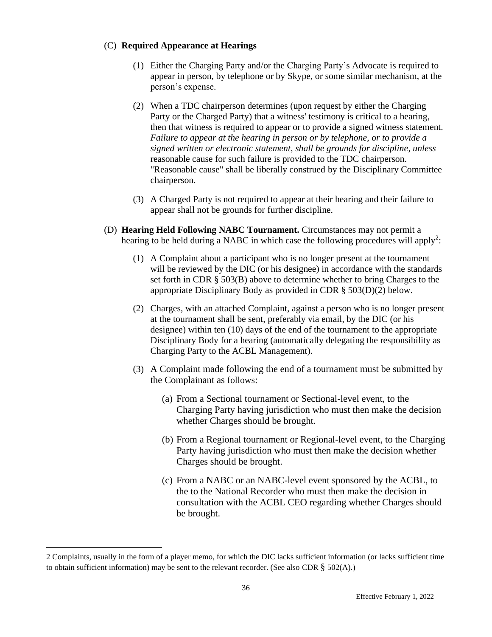## (C) **Required Appearance at Hearings**

- (1) Either the Charging Party and/or the Charging Party's Advocate is required to appear in person, by telephone or by Skype, or some similar mechanism, at the person's expense.
- (2) When a TDC chairperson determines (upon request by either the Charging Party or the Charged Party) that a witness' testimony is critical to a hearing, then that witness is required to appear or to provide a signed witness statement. *Failure to appear at the hearing in person or by telephone, or to provide a signed written or electronic statement, shall be grounds for discipline*, *unless* reasonable cause for such failure is provided to the TDC chairperson. "Reasonable cause" shall be liberally construed by the Disciplinary Committee chairperson.
- (3) A Charged Party is not required to appear at their hearing and their failure to appear shall not be grounds for further discipline.
- (D) **Hearing Held Following NABC Tournament.** Circumstances may not permit a hearing to be held during a NABC in which case the following procedures will apply<sup>2</sup>:
	- (1) A Complaint about a participant who is no longer present at the tournament will be reviewed by the DIC (or his designee) in accordance with the standards set forth in CDR § 503(B) above to determine whether to bring Charges to the appropriate Disciplinary Body as provided in CDR § 503(D)(2) below.
	- (2) Charges, with an attached Complaint, against a person who is no longer present at the tournament shall be sent, preferably via email, by the DIC (or his designee) within ten (10) days of the end of the tournament to the appropriate Disciplinary Body for a hearing (automatically delegating the responsibility as Charging Party to the ACBL Management).
	- (3) A Complaint made following the end of a tournament must be submitted by the Complainant as follows:
		- (a) From a Sectional tournament or Sectional-level event, to the Charging Party having jurisdiction who must then make the decision whether Charges should be brought.
		- (b) From a Regional tournament or Regional-level event, to the Charging Party having jurisdiction who must then make the decision whether Charges should be brought.
		- (c) From a NABC or an NABC-level event sponsored by the ACBL, to the to the National Recorder who must then make the decision in consultation with the ACBL CEO regarding whether Charges should be brought.

<sup>2</sup> Complaints, usually in the form of a player memo, for which the DIC lacks sufficient information (or lacks sufficient time to obtain sufficient information) may be sent to the relevant recorder. (See also CDR  $\S$  502(A).)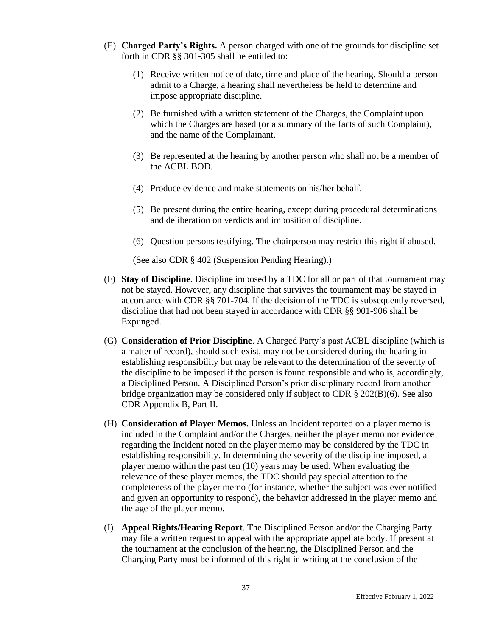- (E) **Charged Party's Rights.** A person charged with one of the grounds for discipline set forth in CDR §§ 301-305 shall be entitled to:
	- (1) Receive written notice of date, time and place of the hearing. Should a person admit to a Charge, a hearing shall nevertheless be held to determine and impose appropriate discipline.
	- (2) Be furnished with a written statement of the Charges, the Complaint upon which the Charges are based (or a summary of the facts of such Complaint), and the name of the Complainant.
	- (3) Be represented at the hearing by another person who shall not be a member of the ACBL BOD.
	- (4) Produce evidence and make statements on his/her behalf.
	- (5) Be present during the entire hearing, except during procedural determinations and deliberation on verdicts and imposition of discipline.
	- (6) Question persons testifying. The chairperson may restrict this right if abused.

(See also CDR § 402 (Suspension Pending Hearing).)

- (F) **Stay of Discipline**. Discipline imposed by a TDC for all or part of that tournament may not be stayed. However, any discipline that survives the tournament may be stayed in accordance with CDR §§ 701-704. If the decision of the TDC is subsequently reversed, discipline that had not been stayed in accordance with CDR §§ 901-906 shall be Expunged.
- (G) **Consideration of Prior Discipline**. A Charged Party's past ACBL discipline (which is a matter of record), should such exist, may not be considered during the hearing in establishing responsibility but may be relevant to the determination of the severity of the discipline to be imposed if the person is found responsible and who is, accordingly, a Disciplined Person. A Disciplined Person's prior disciplinary record from another bridge organization may be considered only if subject to CDR § 202(B)(6). See also CDR Appendix B, Part II.
- (H) **Consideration of Player Memos.** Unless an Incident reported on a player memo is included in the Complaint and/or the Charges, neither the player memo nor evidence regarding the Incident noted on the player memo may be considered by the TDC in establishing responsibility. In determining the severity of the discipline imposed, a player memo within the past ten (10) years may be used. When evaluating the relevance of these player memos, the TDC should pay special attention to the completeness of the player memo (for instance, whether the subject was ever notified and given an opportunity to respond), the behavior addressed in the player memo and the age of the player memo.
- (I) **Appeal Rights/Hearing Report**. The Disciplined Person and/or the Charging Party may file a written request to appeal with the appropriate appellate body. If present at the tournament at the conclusion of the hearing, the Disciplined Person and the Charging Party must be informed of this right in writing at the conclusion of the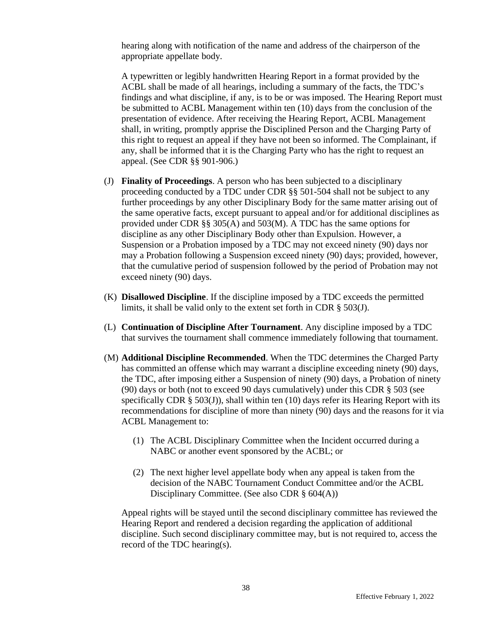hearing along with notification of the name and address of the chairperson of the appropriate appellate body.

A typewritten or legibly handwritten Hearing Report in a format provided by the ACBL shall be made of all hearings, including a summary of the facts, the TDC's findings and what discipline, if any, is to be or was imposed. The Hearing Report must be submitted to ACBL Management within ten (10) days from the conclusion of the presentation of evidence. After receiving the Hearing Report, ACBL Management shall, in writing, promptly apprise the Disciplined Person and the Charging Party of this right to request an appeal if they have not been so informed. The Complainant, if any, shall be informed that it is the Charging Party who has the right to request an appeal. (See CDR §§ 901-906.)

- (J) **Finality of Proceedings**. A person who has been subjected to a disciplinary proceeding conducted by a TDC under CDR §§ 501-504 shall not be subject to any further proceedings by any other Disciplinary Body for the same matter arising out of the same operative facts, except pursuant to appeal and/or for additional disciplines as provided under CDR §§ 305(A) and 503(M). A TDC has the same options for discipline as any other Disciplinary Body other than Expulsion. However, a Suspension or a Probation imposed by a TDC may not exceed ninety (90) days nor may a Probation following a Suspension exceed ninety (90) days; provided, however, that the cumulative period of suspension followed by the period of Probation may not exceed ninety (90) days.
- (K) **Disallowed Discipline**. If the discipline imposed by a TDC exceeds the permitted limits, it shall be valid only to the extent set forth in CDR § 503(J).
- (L) **Continuation of Discipline After Tournament**. Any discipline imposed by a TDC that survives the tournament shall commence immediately following that tournament.
- (M) **Additional Discipline Recommended**. When the TDC determines the Charged Party has committed an offense which may warrant a discipline exceeding ninety (90) days, the TDC, after imposing either a Suspension of ninety (90) days, a Probation of ninety (90) days or both (not to exceed 90 days cumulatively) under this CDR § 503 (see specifically CDR § 503(J)), shall within ten (10) days refer its Hearing Report with its recommendations for discipline of more than ninety (90) days and the reasons for it via ACBL Management to:
	- (1) The ACBL Disciplinary Committee when the Incident occurred during a NABC or another event sponsored by the ACBL; or
	- (2) The next higher level appellate body when any appeal is taken from the decision of the NABC Tournament Conduct Committee and/or the ACBL Disciplinary Committee. (See also CDR § 604(A))

Appeal rights will be stayed until the second disciplinary committee has reviewed the Hearing Report and rendered a decision regarding the application of additional discipline. Such second disciplinary committee may, but is not required to, access the record of the TDC hearing(s).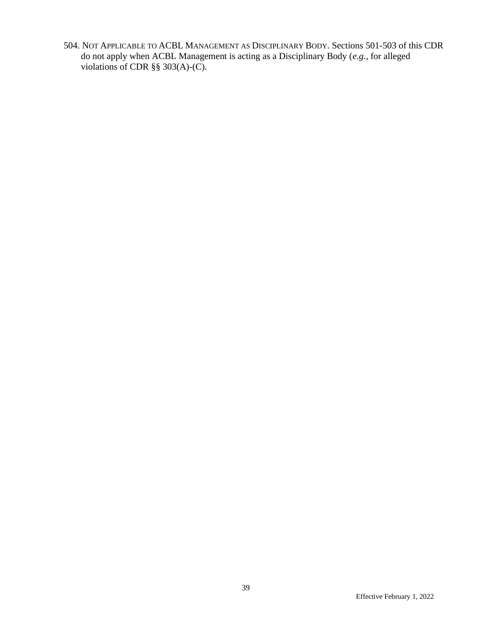504. NOT APPLICABLE TO ACBL MANAGEMENT AS DISCIPLINARY BODY. Sections 501-503 of this CDR do not apply when ACBL Management is acting as a Disciplinary Body (*e.g.*, for alleged violations of CDR §§ 303(A)-(C).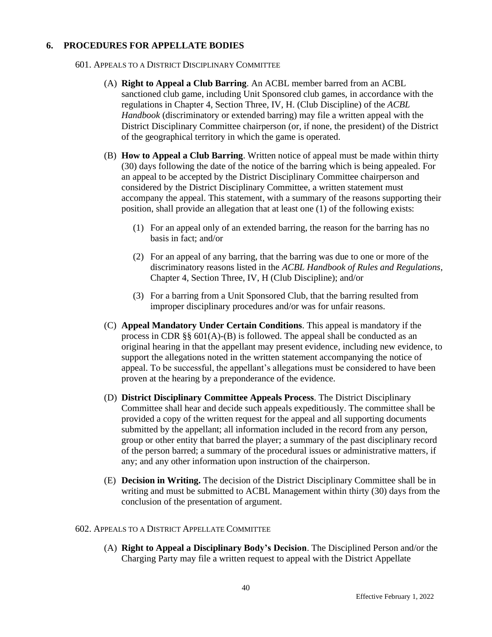## **6. PROCEDURES FOR APPELLATE BODIES**

- 601. APPEALS TO A DISTRICT DISCIPLINARY COMMITTEE
	- (A) **Right to Appeal a Club Barring**. An ACBL member barred from an ACBL sanctioned club game, including Unit Sponsored club games, in accordance with the regulations in Chapter 4, Section Three, IV, H. (Club Discipline) of the *ACBL Handbook* (discriminatory or extended barring) may file a written appeal with the District Disciplinary Committee chairperson (or, if none, the president) of the District of the geographical territory in which the game is operated.
	- (B) **How to Appeal a Club Barring**. Written notice of appeal must be made within thirty (30) days following the date of the notice of the barring which is being appealed. For an appeal to be accepted by the District Disciplinary Committee chairperson and considered by the District Disciplinary Committee, a written statement must accompany the appeal. This statement, with a summary of the reasons supporting their position, shall provide an allegation that at least one (1) of the following exists:
		- (1) For an appeal only of an extended barring, the reason for the barring has no basis in fact; and/or
		- (2) For an appeal of any barring, that the barring was due to one or more of the discriminatory reasons listed in the *ACBL Handbook of Rules and Regulations*, Chapter 4, Section Three, IV, H (Club Discipline); and/or
		- (3) For a barring from a Unit Sponsored Club, that the barring resulted from improper disciplinary procedures and/or was for unfair reasons.
	- (C) **Appeal Mandatory Under Certain Conditions**. This appeal is mandatory if the process in CDR §§ 601(A)-(B) is followed. The appeal shall be conducted as an original hearing in that the appellant may present evidence, including new evidence, to support the allegations noted in the written statement accompanying the notice of appeal. To be successful, the appellant's allegations must be considered to have been proven at the hearing by a preponderance of the evidence.
	- (D) **District Disciplinary Committee Appeals Process**. The District Disciplinary Committee shall hear and decide such appeals expeditiously. The committee shall be provided a copy of the written request for the appeal and all supporting documents submitted by the appellant; all information included in the record from any person, group or other entity that barred the player; a summary of the past disciplinary record of the person barred; a summary of the procedural issues or administrative matters, if any; and any other information upon instruction of the chairperson.
	- (E) **Decision in Writing.** The decision of the District Disciplinary Committee shall be in writing and must be submitted to ACBL Management within thirty (30) days from the conclusion of the presentation of argument.

#### 602. APPEALS TO A DISTRICT APPELLATE COMMITTEE

(A) **Right to Appeal a Disciplinary Body's Decision**. The Disciplined Person and/or the Charging Party may file a written request to appeal with the District Appellate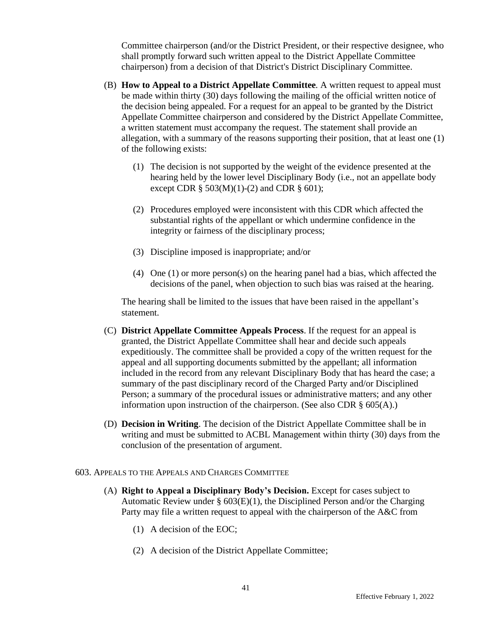Committee chairperson (and/or the District President, or their respective designee, who shall promptly forward such written appeal to the District Appellate Committee chairperson) from a decision of that District's District Disciplinary Committee.

- (B) **How to Appeal to a District Appellate Committee***.* A written request to appeal must be made within thirty (30) days following the mailing of the official written notice of the decision being appealed. For a request for an appeal to be granted by the District Appellate Committee chairperson and considered by the District Appellate Committee, a written statement must accompany the request. The statement shall provide an allegation, with a summary of the reasons supporting their position, that at least one (1) of the following exists:
	- (1) The decision is not supported by the weight of the evidence presented at the hearing held by the lower level Disciplinary Body (i.e., not an appellate body except CDR  $\S$  503(M)(1)-(2) and CDR  $\S$  601);
	- (2) Procedures employed were inconsistent with this CDR which affected the substantial rights of the appellant or which undermine confidence in the integrity or fairness of the disciplinary process;
	- (3) Discipline imposed is inappropriate; and/or
	- (4) One (1) or more person(s) on the hearing panel had a bias, which affected the decisions of the panel, when objection to such bias was raised at the hearing.

The hearing shall be limited to the issues that have been raised in the appellant's statement.

- (C) **District Appellate Committee Appeals Process**. If the request for an appeal is granted, the District Appellate Committee shall hear and decide such appeals expeditiously. The committee shall be provided a copy of the written request for the appeal and all supporting documents submitted by the appellant; all information included in the record from any relevant Disciplinary Body that has heard the case; a summary of the past disciplinary record of the Charged Party and/or Disciplined Person; a summary of the procedural issues or administrative matters; and any other information upon instruction of the chairperson. (See also CDR § 605(A).)
- (D) **Decision in Writing**. The decision of the District Appellate Committee shall be in writing and must be submitted to ACBL Management within thirty (30) days from the conclusion of the presentation of argument.

#### 603. APPEALS TO THE APPEALS AND CHARGES COMMITTEE

- (A) **Right to Appeal a Disciplinary Body's Decision.** Except for cases subject to Automatic Review under  $\S 603(E)(1)$ , the Disciplined Person and/or the Charging Party may file a written request to appeal with the chairperson of the A&C from
	- (1) A decision of the EOC;
	- (2) A decision of the District Appellate Committee;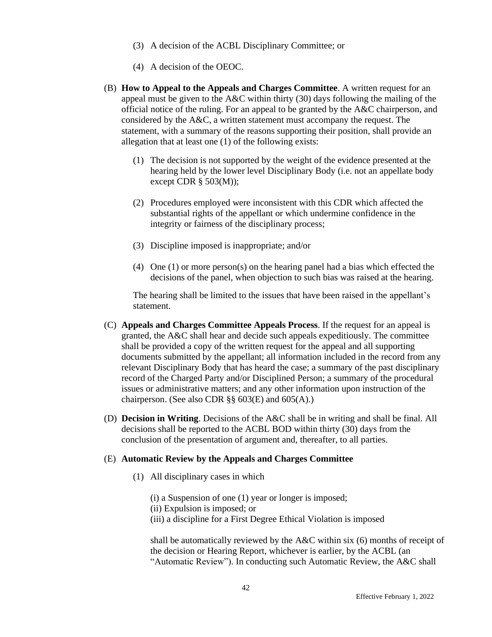- (3) A decision of the ACBL Disciplinary Committee; or
- (4) A decision of the OEOC.
- (B) **How to Appeal to the Appeals and Charges Committee**. A written request for an appeal must be given to the  $A&C$  within thirty (30) days following the mailing of the official notice of the ruling. For an appeal to be granted by the A&C chairperson, and considered by the A&C, a written statement must accompany the request. The statement, with a summary of the reasons supporting their position, shall provide an allegation that at least one (1) of the following exists:
	- (1) The decision is not supported by the weight of the evidence presented at the hearing held by the lower level Disciplinary Body (i.e. not an appellate body except CDR  $\S$  503(M));
	- (2) Procedures employed were inconsistent with this CDR which affected the substantial rights of the appellant or which undermine confidence in the integrity or fairness of the disciplinary process;
	- (3) Discipline imposed is inappropriate; and/or
	- (4) One (1) or more person(s) on the hearing panel had a bias which effected the decisions of the panel, when objection to such bias was raised at the hearing.

The hearing shall be limited to the issues that have been raised in the appellant's statement.

- (C) **Appeals and Charges Committee Appeals Process**. If the request for an appeal is granted, the  $A&C$  shall hear and decide such appeals expeditiously. The committee shall be provided a copy of the written request for the appeal and all supporting documents submitted by the appellant; all information included in the record from any relevant Disciplinary Body that has heard the case; a summary of the past disciplinary record of the Charged Party and/or Disciplined Person; a summary of the procedural issues or administrative matters; and any other information upon instruction of the chairperson. (See also CDR  $\S$ § 603(E) and 605(A).)
- (D) **Decision in Writing**. Decisions of the A&C shall be in writing and shall be final. All decisions shall be reported to the ACBL BOD within thirty (30) days from the conclusion of the presentation of argument and, thereafter, to all parties.

#### (E) **Automatic Review by the Appeals and Charges Committee**

- (1) All disciplinary cases in which
	- (i) a Suspension of one (1) year or longer is imposed;
	- (ii) Expulsion is imposed; or
	- (iii) a discipline for a First Degree Ethical Violation is imposed

shall be automatically reviewed by the A&C within six (6) months of receipt of the decision or Hearing Report, whichever is earlier, by the ACBL (an "Automatic Review"). In conducting such Automatic Review, the A&C shall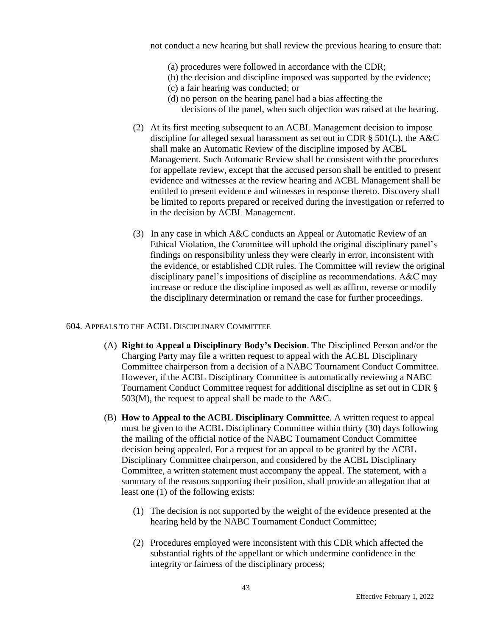not conduct a new hearing but shall review the previous hearing to ensure that:

- (a) procedures were followed in accordance with the CDR;
- (b) the decision and discipline imposed was supported by the evidence;
- (c) a fair hearing was conducted; or
- (d) no person on the hearing panel had a bias affecting the decisions of the panel, when such objection was raised at the hearing.
- (2) At its first meeting subsequent to an ACBL Management decision to impose discipline for alleged sexual harassment as set out in CDR § 501(L), the A&C shall make an Automatic Review of the discipline imposed by ACBL Management. Such Automatic Review shall be consistent with the procedures for appellate review, except that the accused person shall be entitled to present evidence and witnesses at the review hearing and ACBL Management shall be entitled to present evidence and witnesses in response thereto. Discovery shall be limited to reports prepared or received during the investigation or referred to in the decision by ACBL Management.
- (3) In any case in which A&C conducts an Appeal or Automatic Review of an Ethical Violation, the Committee will uphold the original disciplinary panel's findings on responsibility unless they were clearly in error, inconsistent with the evidence, or established CDR rules. The Committee will review the original disciplinary panel's impositions of discipline as recommendations. A&C may increase or reduce the discipline imposed as well as affirm, reverse or modify the disciplinary determination or remand the case for further proceedings.

#### 604. APPEALS TO THE ACBL DISCIPLINARY COMMITTEE

- (A) **Right to Appeal a Disciplinary Body's Decision**. The Disciplined Person and/or the Charging Party may file a written request to appeal with the ACBL Disciplinary Committee chairperson from a decision of a NABC Tournament Conduct Committee. However, if the ACBL Disciplinary Committee is automatically reviewing a NABC Tournament Conduct Committee request for additional discipline as set out in CDR §  $503(M)$ , the request to appeal shall be made to the A&C.
- (B) **How to Appeal to the ACBL Disciplinary Committee***.* A written request to appeal must be given to the ACBL Disciplinary Committee within thirty (30) days following the mailing of the official notice of the NABC Tournament Conduct Committee decision being appealed. For a request for an appeal to be granted by the ACBL Disciplinary Committee chairperson, and considered by the ACBL Disciplinary Committee, a written statement must accompany the appeal. The statement, with a summary of the reasons supporting their position, shall provide an allegation that at least one (1) of the following exists:
	- (1) The decision is not supported by the weight of the evidence presented at the hearing held by the NABC Tournament Conduct Committee;
	- (2) Procedures employed were inconsistent with this CDR which affected the substantial rights of the appellant or which undermine confidence in the integrity or fairness of the disciplinary process;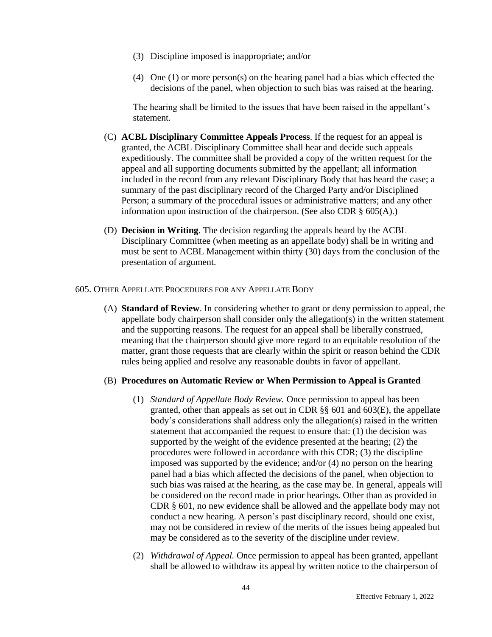- (3) Discipline imposed is inappropriate; and/or
- (4) One (1) or more person(s) on the hearing panel had a bias which effected the decisions of the panel, when objection to such bias was raised at the hearing.

The hearing shall be limited to the issues that have been raised in the appellant's statement.

- (C) **ACBL Disciplinary Committee Appeals Process**. If the request for an appeal is granted, the ACBL Disciplinary Committee shall hear and decide such appeals expeditiously. The committee shall be provided a copy of the written request for the appeal and all supporting documents submitted by the appellant; all information included in the record from any relevant Disciplinary Body that has heard the case; a summary of the past disciplinary record of the Charged Party and/or Disciplined Person; a summary of the procedural issues or administrative matters; and any other information upon instruction of the chairperson. (See also CDR § 605(A).)
- (D) **Decision in Writing**. The decision regarding the appeals heard by the ACBL Disciplinary Committee (when meeting as an appellate body) shall be in writing and must be sent to ACBL Management within thirty (30) days from the conclusion of the presentation of argument.

#### 605. OTHER APPELLATE PROCEDURES FOR ANY APPELLATE BODY

(A) **Standard of Review**. In considering whether to grant or deny permission to appeal, the appellate body chairperson shall consider only the allegation(s) in the written statement and the supporting reasons. The request for an appeal shall be liberally construed, meaning that the chairperson should give more regard to an equitable resolution of the matter, grant those requests that are clearly within the spirit or reason behind the CDR rules being applied and resolve any reasonable doubts in favor of appellant.

#### (B) **Procedures on Automatic Review or When Permission to Appeal is Granted**

- (1) *Standard of Appellate Body Review.* Once permission to appeal has been granted, other than appeals as set out in CDR §§ 601 and 603(E), the appellate body's considerations shall address only the allegation(s) raised in the written statement that accompanied the request to ensure that: (1) the decision was supported by the weight of the evidence presented at the hearing; (2) the procedures were followed in accordance with this CDR; (3) the discipline imposed was supported by the evidence; and/or (4) no person on the hearing panel had a bias which affected the decisions of the panel, when objection to such bias was raised at the hearing, as the case may be. In general, appeals will be considered on the record made in prior hearings. Other than as provided in CDR § 601, no new evidence shall be allowed and the appellate body may not conduct a new hearing. A person's past disciplinary record, should one exist, may not be considered in review of the merits of the issues being appealed but may be considered as to the severity of the discipline under review.
- (2) *Withdrawal of Appeal.* Once permission to appeal has been granted, appellant shall be allowed to withdraw its appeal by written notice to the chairperson of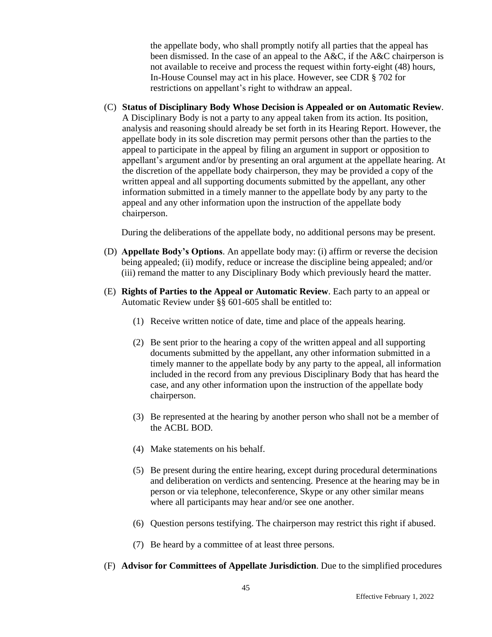the appellate body, who shall promptly notify all parties that the appeal has been dismissed. In the case of an appeal to the A&C, if the A&C chairperson is not available to receive and process the request within forty-eight (48) hours, In-House Counsel may act in his place. However, see CDR § 702 for restrictions on appellant's right to withdraw an appeal.

(C) **Status of Disciplinary Body Whose Decision is Appealed or on Automatic Review**. A Disciplinary Body is not a party to any appeal taken from its action. Its position, analysis and reasoning should already be set forth in its Hearing Report. However, the appellate body in its sole discretion may permit persons other than the parties to the appeal to participate in the appeal by filing an argument in support or opposition to appellant's argument and/or by presenting an oral argument at the appellate hearing. At the discretion of the appellate body chairperson, they may be provided a copy of the written appeal and all supporting documents submitted by the appellant, any other information submitted in a timely manner to the appellate body by any party to the appeal and any other information upon the instruction of the appellate body chairperson.

During the deliberations of the appellate body, no additional persons may be present.

- (D) **Appellate Body's Options**. An appellate body may: (i) affirm or reverse the decision being appealed; (ii) modify, reduce or increase the discipline being appealed; and/or (iii) remand the matter to any Disciplinary Body which previously heard the matter.
- (E) **Rights of Parties to the Appeal or Automatic Review**. Each party to an appeal or Automatic Review under §§ 601-605 shall be entitled to:
	- (1) Receive written notice of date, time and place of the appeals hearing.
	- (2) Be sent prior to the hearing a copy of the written appeal and all supporting documents submitted by the appellant, any other information submitted in a timely manner to the appellate body by any party to the appeal, all information included in the record from any previous Disciplinary Body that has heard the case, and any other information upon the instruction of the appellate body chairperson.
	- (3) Be represented at the hearing by another person who shall not be a member of the ACBL BOD.
	- (4) Make statements on his behalf.
	- (5) Be present during the entire hearing, except during procedural determinations and deliberation on verdicts and sentencing. Presence at the hearing may be in person or via telephone, teleconference, Skype or any other similar means where all participants may hear and/or see one another.
	- (6) Question persons testifying. The chairperson may restrict this right if abused.
	- (7) Be heard by a committee of at least three persons.
- (F) **Advisor for Committees of Appellate Jurisdiction**. Due to the simplified procedures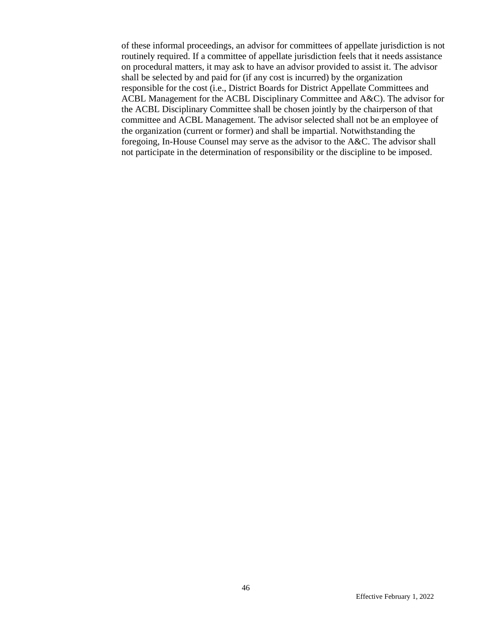of these informal proceedings, an advisor for committees of appellate jurisdiction is not routinely required. If a committee of appellate jurisdiction feels that it needs assistance on procedural matters, it may ask to have an advisor provided to assist it. The advisor shall be selected by and paid for (if any cost is incurred) by the organization responsible for the cost (i.e., District Boards for District Appellate Committees and ACBL Management for the ACBL Disciplinary Committee and A&C). The advisor for the ACBL Disciplinary Committee shall be chosen jointly by the chairperson of that committee and ACBL Management. The advisor selected shall not be an employee of the organization (current or former) and shall be impartial. Notwithstanding the foregoing, In-House Counsel may serve as the advisor to the A&C. The advisor shall not participate in the determination of responsibility or the discipline to be imposed.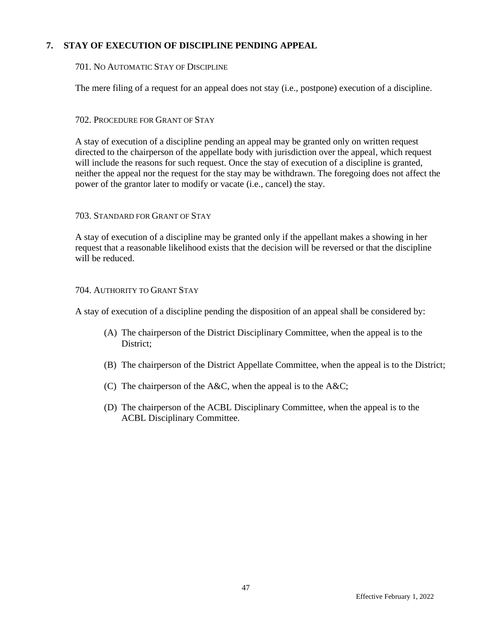## **7. STAY OF EXECUTION OF DISCIPLINE PENDING APPEAL**

### 701. NO AUTOMATIC STAY OF DISCIPLINE

The mere filing of a request for an appeal does not stay (i.e., postpone) execution of a discipline.

## 702. PROCEDURE FOR GRANT OF STAY

A stay of execution of a discipline pending an appeal may be granted only on written request directed to the chairperson of the appellate body with jurisdiction over the appeal, which request will include the reasons for such request. Once the stay of execution of a discipline is granted, neither the appeal nor the request for the stay may be withdrawn. The foregoing does not affect the power of the grantor later to modify or vacate (i.e., cancel) the stay.

#### 703. STANDARD FOR GRANT OF STAY

A stay of execution of a discipline may be granted only if the appellant makes a showing in her request that a reasonable likelihood exists that the decision will be reversed or that the discipline will be reduced.

## 704. AUTHORITY TO GRANT STAY

A stay of execution of a discipline pending the disposition of an appeal shall be considered by:

- (A) The chairperson of the District Disciplinary Committee, when the appeal is to the District;
- (B) The chairperson of the District Appellate Committee, when the appeal is to the District;
- (C) The chairperson of the A&C, when the appeal is to the A&C;
- (D) The chairperson of the ACBL Disciplinary Committee, when the appeal is to the ACBL Disciplinary Committee.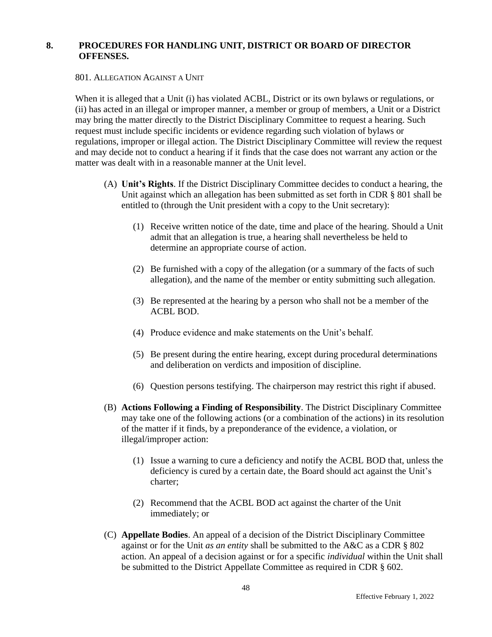## **8. PROCEDURES FOR HANDLING UNIT, DISTRICT OR BOARD OF DIRECTOR OFFENSES.**

801. ALLEGATION AGAINST A UNIT

When it is alleged that a Unit (i) has violated ACBL, District or its own bylaws or regulations, or (ii) has acted in an illegal or improper manner, a member or group of members, a Unit or a District may bring the matter directly to the District Disciplinary Committee to request a hearing. Such request must include specific incidents or evidence regarding such violation of bylaws or regulations, improper or illegal action. The District Disciplinary Committee will review the request and may decide not to conduct a hearing if it finds that the case does not warrant any action or the matter was dealt with in a reasonable manner at the Unit level.

- (A) **Unit's Rights**. If the District Disciplinary Committee decides to conduct a hearing, the Unit against which an allegation has been submitted as set forth in CDR § 801 shall be entitled to (through the Unit president with a copy to the Unit secretary):
	- (1) Receive written notice of the date, time and place of the hearing. Should a Unit admit that an allegation is true, a hearing shall nevertheless be held to determine an appropriate course of action.
	- (2) Be furnished with a copy of the allegation (or a summary of the facts of such allegation), and the name of the member or entity submitting such allegation.
	- (3) Be represented at the hearing by a person who shall not be a member of the ACBL BOD.
	- (4) Produce evidence and make statements on the Unit's behalf.
	- (5) Be present during the entire hearing, except during procedural determinations and deliberation on verdicts and imposition of discipline.
	- (6) Question persons testifying. The chairperson may restrict this right if abused.
- (B) **Actions Following a Finding of Responsibility**. The District Disciplinary Committee may take one of the following actions (or a combination of the actions) in its resolution of the matter if it finds, by a preponderance of the evidence, a violation, or illegal/improper action:
	- (1) Issue a warning to cure a deficiency and notify the ACBL BOD that, unless the deficiency is cured by a certain date, the Board should act against the Unit's charter;
	- (2) Recommend that the ACBL BOD act against the charter of the Unit immediately; or
- (C) **Appellate Bodies**. An appeal of a decision of the District Disciplinary Committee against or for the Unit *as an entity* shall be submitted to the A&C as a CDR § 802 action. An appeal of a decision against or for a specific *individual* within the Unit shall be submitted to the District Appellate Committee as required in CDR § 602.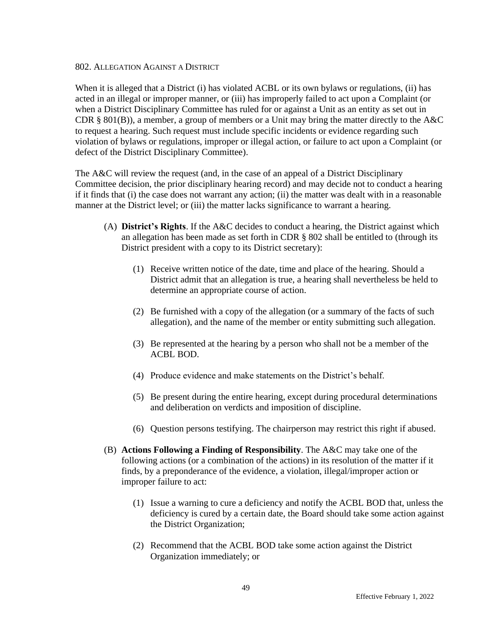#### 802. ALLEGATION AGAINST A DISTRICT

When it is alleged that a District (i) has violated ACBL or its own bylaws or regulations, (ii) has acted in an illegal or improper manner, or (iii) has improperly failed to act upon a Complaint (or when a District Disciplinary Committee has ruled for or against a Unit as an entity as set out in CDR § 801(B)), a member, a group of members or a Unit may bring the matter directly to the A&C to request a hearing. Such request must include specific incidents or evidence regarding such violation of bylaws or regulations, improper or illegal action, or failure to act upon a Complaint (or defect of the District Disciplinary Committee).

The A&C will review the request (and, in the case of an appeal of a District Disciplinary Committee decision, the prior disciplinary hearing record) and may decide not to conduct a hearing if it finds that (i) the case does not warrant any action; (ii) the matter was dealt with in a reasonable manner at the District level; or (iii) the matter lacks significance to warrant a hearing.

- (A) **District's Rights**. If the A&C decides to conduct a hearing, the District against which an allegation has been made as set forth in CDR § 802 shall be entitled to (through its District president with a copy to its District secretary):
	- (1) Receive written notice of the date, time and place of the hearing. Should a District admit that an allegation is true, a hearing shall nevertheless be held to determine an appropriate course of action.
	- (2) Be furnished with a copy of the allegation (or a summary of the facts of such allegation), and the name of the member or entity submitting such allegation.
	- (3) Be represented at the hearing by a person who shall not be a member of the ACBL BOD.
	- (4) Produce evidence and make statements on the District's behalf.
	- (5) Be present during the entire hearing, except during procedural determinations and deliberation on verdicts and imposition of discipline.
	- (6) Question persons testifying. The chairperson may restrict this right if abused.
- (B) **Actions Following a Finding of Responsibility**. The A&C may take one of the following actions (or a combination of the actions) in its resolution of the matter if it finds, by a preponderance of the evidence, a violation, illegal/improper action or improper failure to act:
	- (1) Issue a warning to cure a deficiency and notify the ACBL BOD that, unless the deficiency is cured by a certain date, the Board should take some action against the District Organization;
	- (2) Recommend that the ACBL BOD take some action against the District Organization immediately; or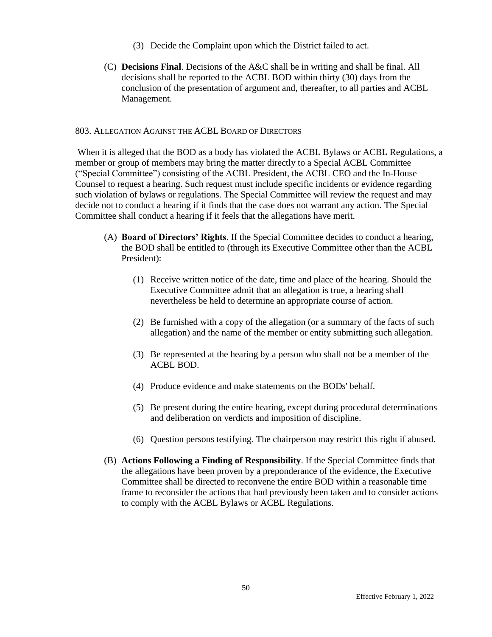- (3) Decide the Complaint upon which the District failed to act.
- (C) **Decisions Final**. Decisions of the A&C shall be in writing and shall be final. All decisions shall be reported to the ACBL BOD within thirty (30) days from the conclusion of the presentation of argument and, thereafter, to all parties and ACBL Management.

#### 803. ALLEGATION AGAINST THE ACBL BOARD OF DIRECTORS

When it is alleged that the BOD as a body has violated the ACBL Bylaws or ACBL Regulations, a member or group of members may bring the matter directly to a Special ACBL Committee ("Special Committee") consisting of the ACBL President, the ACBL CEO and the In-House Counsel to request a hearing. Such request must include specific incidents or evidence regarding such violation of bylaws or regulations. The Special Committee will review the request and may decide not to conduct a hearing if it finds that the case does not warrant any action. The Special Committee shall conduct a hearing if it feels that the allegations have merit.

- (A) **Board of Directors' Rights**. If the Special Committee decides to conduct a hearing, the BOD shall be entitled to (through its Executive Committee other than the ACBL President):
	- (1) Receive written notice of the date, time and place of the hearing. Should the Executive Committee admit that an allegation is true, a hearing shall nevertheless be held to determine an appropriate course of action.
	- (2) Be furnished with a copy of the allegation (or a summary of the facts of such allegation) and the name of the member or entity submitting such allegation.
	- (3) Be represented at the hearing by a person who shall not be a member of the ACBL BOD.
	- (4) Produce evidence and make statements on the BODs' behalf.
	- (5) Be present during the entire hearing, except during procedural determinations and deliberation on verdicts and imposition of discipline.
	- (6) Question persons testifying. The chairperson may restrict this right if abused.
- (B) **Actions Following a Finding of Responsibility**. If the Special Committee finds that the allegations have been proven by a preponderance of the evidence, the Executive Committee shall be directed to reconvene the entire BOD within a reasonable time frame to reconsider the actions that had previously been taken and to consider actions to comply with the ACBL Bylaws or ACBL Regulations.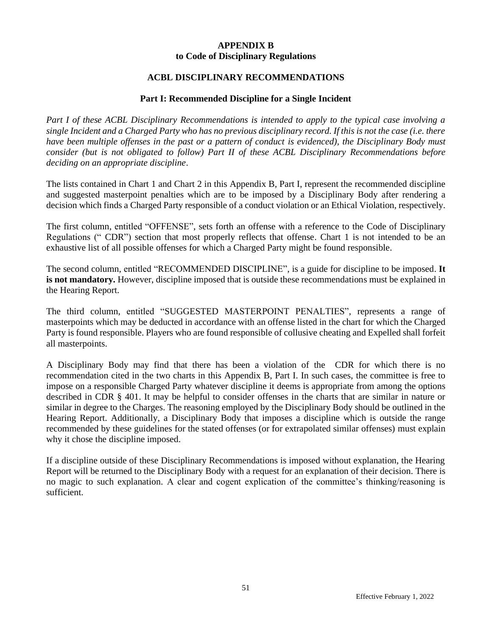## **APPENDIX B to Code of Disciplinary Regulations**

## **ACBL DISCIPLINARY RECOMMENDATIONS**

## **Part I: Recommended Discipline for a Single Incident**

*Part I of these ACBL Disciplinary Recommendations is intended to apply to the typical case involving a single Incident and a Charged Party who has no previous disciplinary record. If this is not the case (i.e. there have been multiple offenses in the past or a pattern of conduct is evidenced), the Disciplinary Body must consider (but is not obligated to follow) Part II of these ACBL Disciplinary Recommendations before deciding on an appropriate discipline*.

The lists contained in Chart 1 and Chart 2 in this Appendix B, Part I, represent the recommended discipline and suggested masterpoint penalties which are to be imposed by a Disciplinary Body after rendering a decision which finds a Charged Party responsible of a conduct violation or an Ethical Violation, respectively.

The first column, entitled "OFFENSE", sets forth an offense with a reference to the Code of Disciplinary Regulations (" CDR") section that most properly reflects that offense. Chart 1 is not intended to be an exhaustive list of all possible offenses for which a Charged Party might be found responsible.

The second column, entitled "RECOMMENDED DISCIPLINE", is a guide for discipline to be imposed. **It is not mandatory.** However, discipline imposed that is outside these recommendations must be explained in the Hearing Report.

The third column, entitled "SUGGESTED MASTERPOINT PENALTIES", represents a range of masterpoints which may be deducted in accordance with an offense listed in the chart for which the Charged Party is found responsible. Players who are found responsible of collusive cheating and Expelled shall forfeit all masterpoints.

A Disciplinary Body may find that there has been a violation of the CDR for which there is no recommendation cited in the two charts in this Appendix B, Part I. In such cases, the committee is free to impose on a responsible Charged Party whatever discipline it deems is appropriate from among the options described in CDR § 401. It may be helpful to consider offenses in the charts that are similar in nature or similar in degree to the Charges. The reasoning employed by the Disciplinary Body should be outlined in the Hearing Report. Additionally, a Disciplinary Body that imposes a discipline which is outside the range recommended by these guidelines for the stated offenses (or for extrapolated similar offenses) must explain why it chose the discipline imposed.

If a discipline outside of these Disciplinary Recommendations is imposed without explanation, the Hearing Report will be returned to the Disciplinary Body with a request for an explanation of their decision. There is no magic to such explanation. A clear and cogent explication of the committee's thinking/reasoning is sufficient.